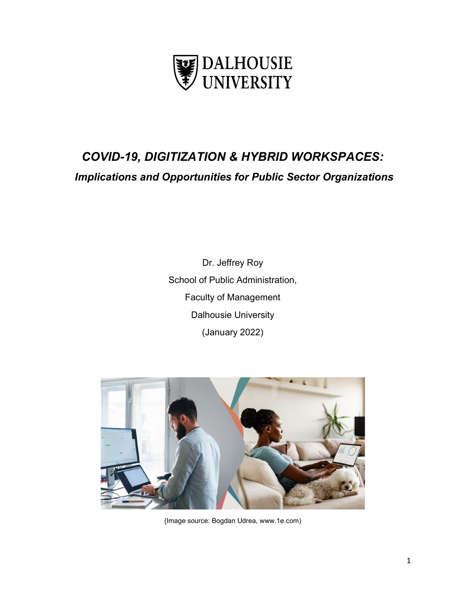

# COVID-19, DIGITIZATION & HYBRID WORKSPACES: Implications and Opportunities for Public Sector Organizations

Dr. Jeffrey Roy School of Public Administration, Faculty of Management Dalhousie University (January 2022)



{Image source: Bogdan Udrea, www.1e.com)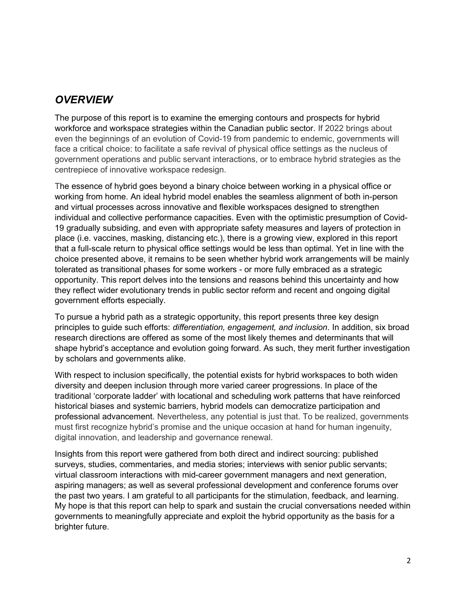## **OVERVIEW**

The purpose of this report is to examine the emerging contours and prospects for hybrid workforce and workspace strategies within the Canadian public sector. If 2022 brings about even the beginnings of an evolution of Covid-19 from pandemic to endemic, governments will face a critical choice: to facilitate a safe revival of physical office settings as the nucleus of government operations and public servant interactions, or to embrace hybrid strategies as the centrepiece of innovative workspace redesign.

The essence of hybrid goes beyond a binary choice between working in a physical office or working from home. An ideal hybrid model enables the seamless alignment of both in-person and virtual processes across innovative and flexible workspaces designed to strengthen individual and collective performance capacities. Even with the optimistic presumption of Covid-19 gradually subsiding, and even with appropriate safety measures and layers of protection in place (i.e. vaccines, masking, distancing etc.), there is a growing view, explored in this report that a full-scale return to physical office settings would be less than optimal. Yet in line with the choice presented above, it remains to be seen whether hybrid work arrangements will be mainly tolerated as transitional phases for some workers - or more fully embraced as a strategic opportunity. This report delves into the tensions and reasons behind this uncertainty and how they reflect wider evolutionary trends in public sector reform and recent and ongoing digital government efforts especially.

To pursue a hybrid path as a strategic opportunity, this report presents three key design principles to guide such efforts: differentiation, engagement, and inclusion. In addition, six broad research directions are offered as some of the most likely themes and determinants that will shape hybrid's acceptance and evolution going forward. As such, they merit further investigation by scholars and governments alike.

With respect to inclusion specifically, the potential exists for hybrid workspaces to both widen diversity and deepen inclusion through more varied career progressions. In place of the traditional 'corporate ladder' with locational and scheduling work patterns that have reinforced historical biases and systemic barriers, hybrid models can democratize participation and professional advancement. Nevertheless, any potential is just that. To be realized, governments must first recognize hybrid's promise and the unique occasion at hand for human ingenuity, digital innovation, and leadership and governance renewal.

Insights from this report were gathered from both direct and indirect sourcing: published surveys, studies, commentaries, and media stories; interviews with senior public servants; virtual classroom interactions with mid-career government managers and next generation, aspiring managers; as well as several professional development and conference forums over the past two years. I am grateful to all participants for the stimulation, feedback, and learning. My hope is that this report can help to spark and sustain the crucial conversations needed within governments to meaningfully appreciate and exploit the hybrid opportunity as the basis for a brighter future.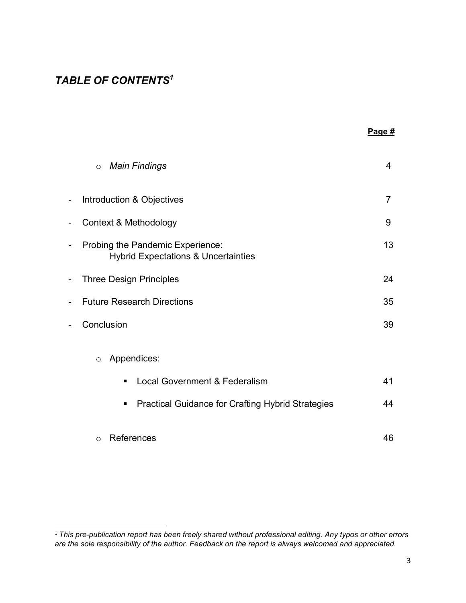# TABLE OF CONTENTS<sup>1</sup>

| Page $#$ |
|----------|
|          |

|   | <b>Main Findings</b><br>$\circ$                                                    | 4  |
|---|------------------------------------------------------------------------------------|----|
| - | Introduction & Objectives                                                          | 7  |
| - | Context & Methodology                                                              | 9  |
| - | Probing the Pandemic Experience:<br><b>Hybrid Expectations &amp; Uncertainties</b> | 13 |
| - | <b>Three Design Principles</b>                                                     | 24 |
|   | <b>Future Research Directions</b>                                                  | 35 |
|   | Conclusion                                                                         | 39 |
|   | Appendices:<br>$\circ$                                                             |    |
|   | <b>Local Government &amp; Federalism</b><br>$\blacksquare$                         | 41 |
|   | <b>Practical Guidance for Crafting Hybrid Strategies</b><br>$\blacksquare$         | 44 |
|   | References<br>$\circ$                                                              | 46 |

 $^{\rm 1}$  This pre-publication report has been freely shared without professional editing. Any typos or other errors are the sole responsibility of the author. Feedback on the report is always welcomed and appreciated.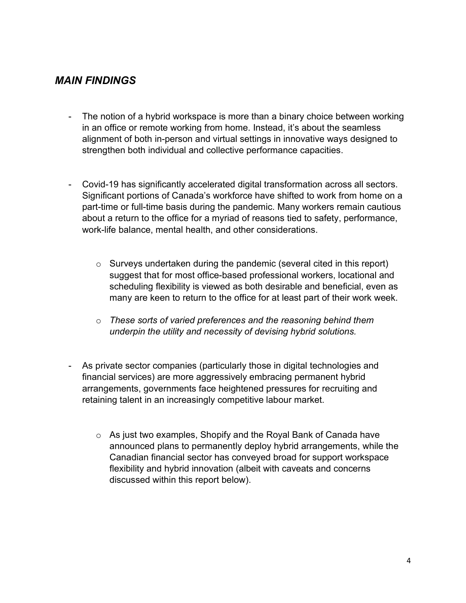# MAIN FINDINGS

- The notion of a hybrid workspace is more than a binary choice between working in an office or remote working from home. Instead, it's about the seamless alignment of both in-person and virtual settings in innovative ways designed to strengthen both individual and collective performance capacities.
- Covid-19 has significantly accelerated digital transformation across all sectors. Significant portions of Canada's workforce have shifted to work from home on a part-time or full-time basis during the pandemic. Many workers remain cautious about a return to the office for a myriad of reasons tied to safety, performance, work-life balance, mental health, and other considerations.
	- o Surveys undertaken during the pandemic (several cited in this report) suggest that for most office-based professional workers, locational and scheduling flexibility is viewed as both desirable and beneficial, even as many are keen to return to the office for at least part of their work week.
	- $\circ$  These sorts of varied preferences and the reasoning behind them underpin the utility and necessity of devising hybrid solutions.
- As private sector companies (particularly those in digital technologies and financial services) are more aggressively embracing permanent hybrid arrangements, governments face heightened pressures for recruiting and retaining talent in an increasingly competitive labour market.
	- o As just two examples, Shopify and the Royal Bank of Canada have announced plans to permanently deploy hybrid arrangements, while the Canadian financial sector has conveyed broad for support workspace flexibility and hybrid innovation (albeit with caveats and concerns discussed within this report below).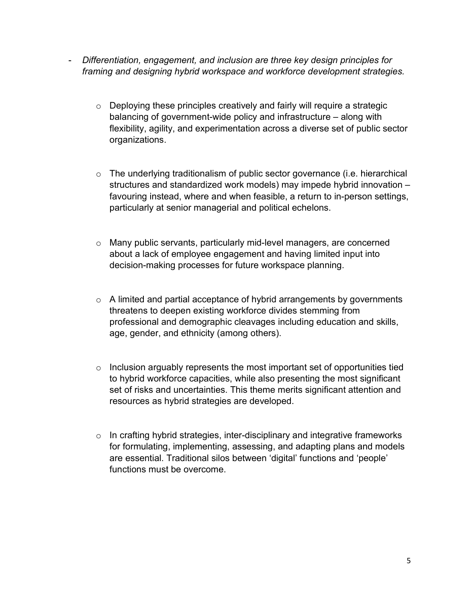- Differentiation, engagement, and inclusion are three key design principles for framing and designing hybrid workspace and workforce development strategies.
	- o Deploying these principles creatively and fairly will require a strategic balancing of government-wide policy and infrastructure – along with flexibility, agility, and experimentation across a diverse set of public sector organizations.
	- o The underlying traditionalism of public sector governance (i.e. hierarchical structures and standardized work models) may impede hybrid innovation – favouring instead, where and when feasible, a return to in-person settings, particularly at senior managerial and political echelons.
	- o Many public servants, particularly mid-level managers, are concerned about a lack of employee engagement and having limited input into decision-making processes for future workspace planning.
	- $\circ$  A limited and partial acceptance of hybrid arrangements by governments threatens to deepen existing workforce divides stemming from professional and demographic cleavages including education and skills, age, gender, and ethnicity (among others).
	- $\circ$  Inclusion arguably represents the most important set of opportunities tied to hybrid workforce capacities, while also presenting the most significant set of risks and uncertainties. This theme merits significant attention and resources as hybrid strategies are developed.
	- o In crafting hybrid strategies, inter-disciplinary and integrative frameworks for formulating, implementing, assessing, and adapting plans and models are essential. Traditional silos between 'digital' functions and 'people' functions must be overcome.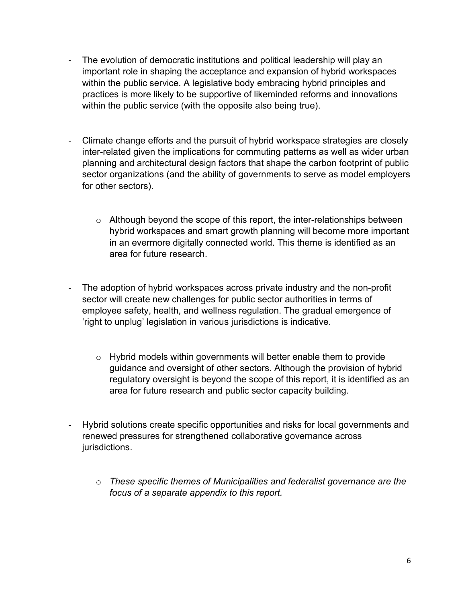- The evolution of democratic institutions and political leadership will play an important role in shaping the acceptance and expansion of hybrid workspaces within the public service. A legislative body embracing hybrid principles and practices is more likely to be supportive of likeminded reforms and innovations within the public service (with the opposite also being true).
- Climate change efforts and the pursuit of hybrid workspace strategies are closely inter-related given the implications for commuting patterns as well as wider urban planning and architectural design factors that shape the carbon footprint of public sector organizations (and the ability of governments to serve as model employers for other sectors).
	- $\circ$  Although beyond the scope of this report, the inter-relationships between hybrid workspaces and smart growth planning will become more important in an evermore digitally connected world. This theme is identified as an area for future research.
- The adoption of hybrid workspaces across private industry and the non-profit sector will create new challenges for public sector authorities in terms of employee safety, health, and wellness regulation. The gradual emergence of 'right to unplug' legislation in various jurisdictions is indicative.
	- o Hybrid models within governments will better enable them to provide guidance and oversight of other sectors. Although the provision of hybrid regulatory oversight is beyond the scope of this report, it is identified as an area for future research and public sector capacity building.
- Hybrid solutions create specific opportunities and risks for local governments and renewed pressures for strengthened collaborative governance across jurisdictions.
	- o These specific themes of Municipalities and federalist governance are the focus of a separate appendix to this report.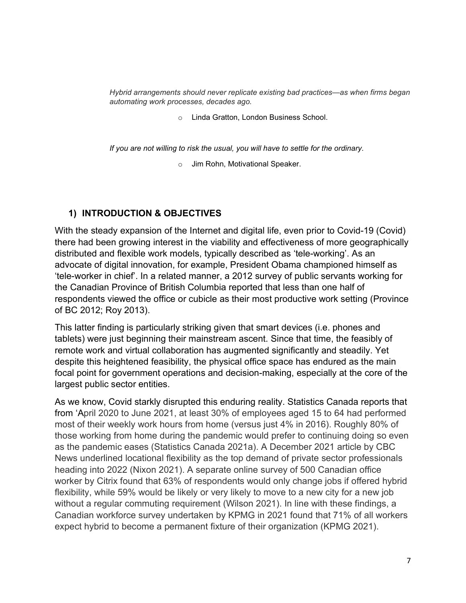Hybrid arrangements should never replicate existing bad practices—as when firms began automating work processes, decades ago.

o Linda Gratton, London Business School.

If you are not willing to risk the usual, you will have to settle for the ordinary.

o Jim Rohn, Motivational Speaker.

#### 1) INTRODUCTION & OBJECTIVES

With the steady expansion of the Internet and digital life, even prior to Covid-19 (Covid) there had been growing interest in the viability and effectiveness of more geographically distributed and flexible work models, typically described as 'tele-working'. As an advocate of digital innovation, for example, President Obama championed himself as 'tele-worker in chief'. In a related manner, a 2012 survey of public servants working for the Canadian Province of British Columbia reported that less than one half of respondents viewed the office or cubicle as their most productive work setting (Province of BC 2012; Roy 2013).

This latter finding is particularly striking given that smart devices (i.e. phones and tablets) were just beginning their mainstream ascent. Since that time, the feasibly of remote work and virtual collaboration has augmented significantly and steadily. Yet despite this heightened feasibility, the physical office space has endured as the main focal point for government operations and decision-making, especially at the core of the largest public sector entities.

As we know, Covid starkly disrupted this enduring reality. Statistics Canada reports that from 'April 2020 to June 2021, at least 30% of employees aged 15 to 64 had performed most of their weekly work hours from home (versus just 4% in 2016). Roughly 80% of those working from home during the pandemic would prefer to continuing doing so even as the pandemic eases (Statistics Canada 2021a). A December 2021 article by CBC News underlined locational flexibility as the top demand of private sector professionals heading into 2022 (Nixon 2021). A separate online survey of 500 Canadian office worker by Citrix found that 63% of respondents would only change jobs if offered hybrid flexibility, while 59% would be likely or very likely to move to a new city for a new job without a regular commuting requirement (Wilson 2021). In line with these findings, a Canadian workforce survey undertaken by KPMG in 2021 found that 71% of all workers expect hybrid to become a permanent fixture of their organization (KPMG 2021).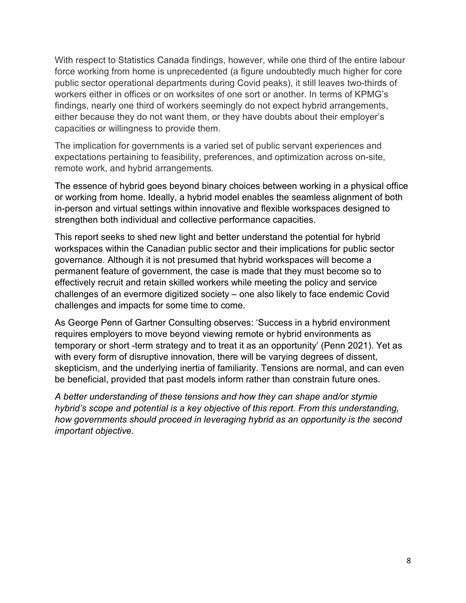With respect to Statistics Canada findings, however, while one third of the entire labour force working from home is unprecedented (a figure undoubtedly much higher for core public sector operational departments during Covid peaks), it still leaves two-thirds of workers either in offices or on worksites of one sort or another. In terms of KPMG's findings, nearly one third of workers seemingly do not expect hybrid arrangements, either because they do not want them, or they have doubts about their employer's capacities or willingness to provide them.

The implication for governments is a varied set of public servant experiences and expectations pertaining to feasibility, preferences, and optimization across on-site, remote work, and hybrid arrangements.

The essence of hybrid goes beyond binary choices between working in a physical office or working from home. Ideally, a hybrid model enables the seamless alignment of both in-person and virtual settings within innovative and flexible workspaces designed to strengthen both individual and collective performance capacities.

This report seeks to shed new light and better understand the potential for hybrid workspaces within the Canadian public sector and their implications for public sector governance. Although it is not presumed that hybrid workspaces will become a permanent feature of government, the case is made that they must become so to effectively recruit and retain skilled workers while meeting the policy and service challenges of an evermore digitized society – one also likely to face endemic Covid challenges and impacts for some time to come.

As George Penn of Gartner Consulting observes: 'Success in a hybrid environment requires employers to move beyond viewing remote or hybrid environments as temporary or short -term strategy and to treat it as an opportunity' (Penn 2021). Yet as with every form of disruptive innovation, there will be varying degrees of dissent, skepticism, and the underlying inertia of familiarity. Tensions are normal, and can even be beneficial, provided that past models inform rather than constrain future ones.

A better understanding of these tensions and how they can shape and/or stymie hybrid's scope and potential is a key objective of this report. From this understanding, how governments should proceed in leveraging hybrid as an opportunity is the second important objective.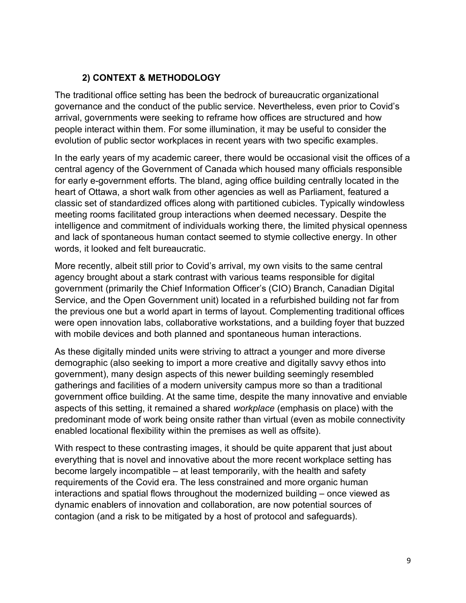## 2) CONTEXT & METHODOLOGY

The traditional office setting has been the bedrock of bureaucratic organizational governance and the conduct of the public service. Nevertheless, even prior to Covid's arrival, governments were seeking to reframe how offices are structured and how people interact within them. For some illumination, it may be useful to consider the evolution of public sector workplaces in recent years with two specific examples.

In the early years of my academic career, there would be occasional visit the offices of a central agency of the Government of Canada which housed many officials responsible for early e-government efforts. The bland, aging office building centrally located in the heart of Ottawa, a short walk from other agencies as well as Parliament, featured a classic set of standardized offices along with partitioned cubicles. Typically windowless meeting rooms facilitated group interactions when deemed necessary. Despite the intelligence and commitment of individuals working there, the limited physical openness and lack of spontaneous human contact seemed to stymie collective energy. In other words, it looked and felt bureaucratic.

More recently, albeit still prior to Covid's arrival, my own visits to the same central agency brought about a stark contrast with various teams responsible for digital government (primarily the Chief Information Officer's (CIO) Branch, Canadian Digital Service, and the Open Government unit) located in a refurbished building not far from the previous one but a world apart in terms of layout. Complementing traditional offices were open innovation labs, collaborative workstations, and a building foyer that buzzed with mobile devices and both planned and spontaneous human interactions.

As these digitally minded units were striving to attract a younger and more diverse demographic (also seeking to import a more creative and digitally savvy ethos into government), many design aspects of this newer building seemingly resembled gatherings and facilities of a modern university campus more so than a traditional government office building. At the same time, despite the many innovative and enviable aspects of this setting, it remained a shared workplace (emphasis on place) with the predominant mode of work being onsite rather than virtual (even as mobile connectivity enabled locational flexibility within the premises as well as offsite).

With respect to these contrasting images, it should be quite apparent that just about everything that is novel and innovative about the more recent workplace setting has become largely incompatible – at least temporarily, with the health and safety requirements of the Covid era. The less constrained and more organic human interactions and spatial flows throughout the modernized building – once viewed as dynamic enablers of innovation and collaboration, are now potential sources of contagion (and a risk to be mitigated by a host of protocol and safeguards).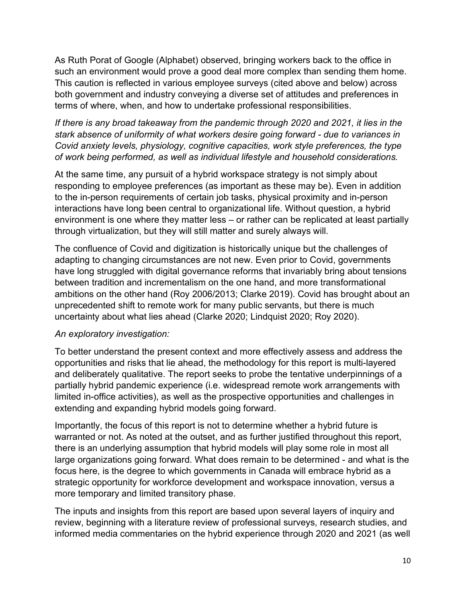As Ruth Porat of Google (Alphabet) observed, bringing workers back to the office in such an environment would prove a good deal more complex than sending them home. This caution is reflected in various employee surveys (cited above and below) across both government and industry conveying a diverse set of attitudes and preferences in terms of where, when, and how to undertake professional responsibilities.

If there is any broad takeaway from the pandemic through 2020 and 2021, it lies in the stark absence of uniformity of what workers desire going forward - due to variances in Covid anxiety levels, physiology, cognitive capacities, work style preferences, the type of work being performed, as well as individual lifestyle and household considerations.

At the same time, any pursuit of a hybrid workspace strategy is not simply about responding to employee preferences (as important as these may be). Even in addition to the in-person requirements of certain job tasks, physical proximity and in-person interactions have long been central to organizational life. Without question, a hybrid environment is one where they matter less – or rather can be replicated at least partially through virtualization, but they will still matter and surely always will.

The confluence of Covid and digitization is historically unique but the challenges of adapting to changing circumstances are not new. Even prior to Covid, governments have long struggled with digital governance reforms that invariably bring about tensions between tradition and incrementalism on the one hand, and more transformational ambitions on the other hand (Roy 2006/2013; Clarke 2019). Covid has brought about an unprecedented shift to remote work for many public servants, but there is much uncertainty about what lies ahead (Clarke 2020; Lindquist 2020; Roy 2020).

#### An exploratory investigation:

To better understand the present context and more effectively assess and address the opportunities and risks that lie ahead, the methodology for this report is multi-layered and deliberately qualitative. The report seeks to probe the tentative underpinnings of a partially hybrid pandemic experience (i.e. widespread remote work arrangements with limited in-office activities), as well as the prospective opportunities and challenges in extending and expanding hybrid models going forward.

Importantly, the focus of this report is not to determine whether a hybrid future is warranted or not. As noted at the outset, and as further justified throughout this report, there is an underlying assumption that hybrid models will play some role in most all large organizations going forward. What does remain to be determined - and what is the focus here, is the degree to which governments in Canada will embrace hybrid as a strategic opportunity for workforce development and workspace innovation, versus a more temporary and limited transitory phase.

The inputs and insights from this report are based upon several layers of inquiry and review, beginning with a literature review of professional surveys, research studies, and informed media commentaries on the hybrid experience through 2020 and 2021 (as well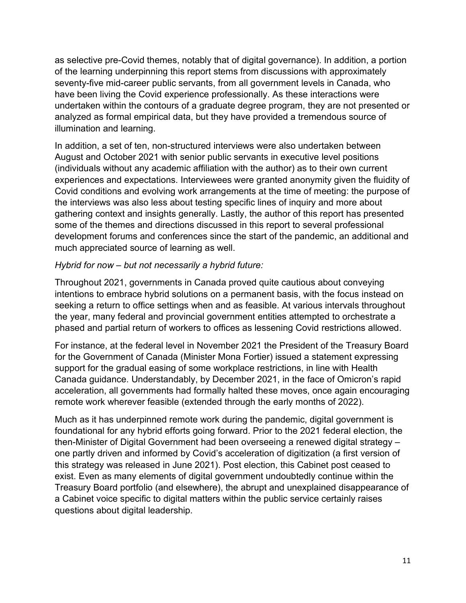as selective pre-Covid themes, notably that of digital governance). In addition, a portion of the learning underpinning this report stems from discussions with approximately seventy-five mid-career public servants, from all government levels in Canada, who have been living the Covid experience professionally. As these interactions were undertaken within the contours of a graduate degree program, they are not presented or analyzed as formal empirical data, but they have provided a tremendous source of illumination and learning.

In addition, a set of ten, non-structured interviews were also undertaken between August and October 2021 with senior public servants in executive level positions (individuals without any academic affiliation with the author) as to their own current experiences and expectations. Interviewees were granted anonymity given the fluidity of Covid conditions and evolving work arrangements at the time of meeting: the purpose of the interviews was also less about testing specific lines of inquiry and more about gathering context and insights generally. Lastly, the author of this report has presented some of the themes and directions discussed in this report to several professional development forums and conferences since the start of the pandemic, an additional and much appreciated source of learning as well.

#### Hybrid for now – but not necessarily a hybrid future:

Throughout 2021, governments in Canada proved quite cautious about conveying intentions to embrace hybrid solutions on a permanent basis, with the focus instead on seeking a return to office settings when and as feasible. At various intervals throughout the year, many federal and provincial government entities attempted to orchestrate a phased and partial return of workers to offices as lessening Covid restrictions allowed.

For instance, at the federal level in November 2021 the President of the Treasury Board for the Government of Canada (Minister Mona Fortier) issued a statement expressing support for the gradual easing of some workplace restrictions, in line with Health Canada guidance. Understandably, by December 2021, in the face of Omicron's rapid acceleration, all governments had formally halted these moves, once again encouraging remote work wherever feasible (extended through the early months of 2022).

Much as it has underpinned remote work during the pandemic, digital government is foundational for any hybrid efforts going forward. Prior to the 2021 federal election, the then-Minister of Digital Government had been overseeing a renewed digital strategy – one partly driven and informed by Covid's acceleration of digitization (a first version of this strategy was released in June 2021). Post election, this Cabinet post ceased to exist. Even as many elements of digital government undoubtedly continue within the Treasury Board portfolio (and elsewhere), the abrupt and unexplained disappearance of a Cabinet voice specific to digital matters within the public service certainly raises questions about digital leadership.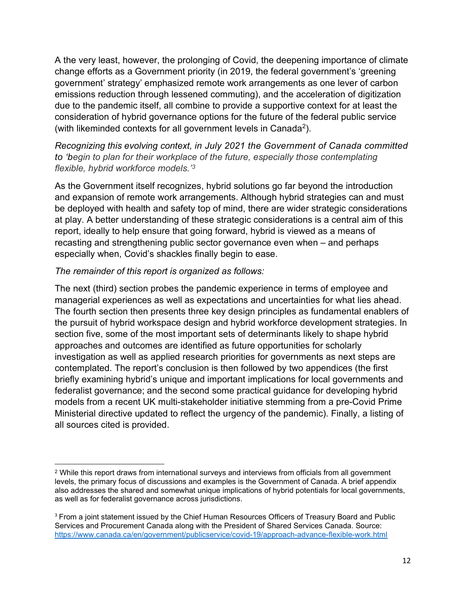A the very least, however, the prolonging of Covid, the deepening importance of climate change efforts as a Government priority (in 2019, the federal government's 'greening government' strategy' emphasized remote work arrangements as one lever of carbon emissions reduction through lessened commuting), and the acceleration of digitization due to the pandemic itself, all combine to provide a supportive context for at least the consideration of hybrid governance options for the future of the federal public service (with likeminded contexts for all government levels in Canada<sup>2</sup>).

Recognizing this evolving context, in July 2021 the Government of Canada committed to 'begin to plan for their workplace of the future, especially those contemplating flexible, hybrid workforce models.<sup>'3</sup>

As the Government itself recognizes, hybrid solutions go far beyond the introduction and expansion of remote work arrangements. Although hybrid strategies can and must be deployed with health and safety top of mind, there are wider strategic considerations at play. A better understanding of these strategic considerations is a central aim of this report, ideally to help ensure that going forward, hybrid is viewed as a means of recasting and strengthening public sector governance even when – and perhaps especially when, Covid's shackles finally begin to ease.

#### The remainder of this report is organized as follows:

The next (third) section probes the pandemic experience in terms of employee and managerial experiences as well as expectations and uncertainties for what lies ahead. The fourth section then presents three key design principles as fundamental enablers of the pursuit of hybrid workspace design and hybrid workforce development strategies. In section five, some of the most important sets of determinants likely to shape hybrid approaches and outcomes are identified as future opportunities for scholarly investigation as well as applied research priorities for governments as next steps are contemplated. The report's conclusion is then followed by two appendices (the first briefly examining hybrid's unique and important implications for local governments and federalist governance; and the second some practical guidance for developing hybrid models from a recent UK multi-stakeholder initiative stemming from a pre-Covid Prime Ministerial directive updated to reflect the urgency of the pandemic). Finally, a listing of all sources cited is provided.

 $\rm ^2$  While this report draws from international surveys and interviews from officials from all government  $\rm ^2$ levels, the primary focus of discussions and examples is the Government of Canada. A brief appendix also addresses the shared and somewhat unique implications of hybrid potentials for local governments, as well as for federalist governance across jurisdictions.

<sup>&</sup>lt;sup>3</sup> From a joint statement issued by the Chief Human Resources Officers of Treasury Board and Public Services and Procurement Canada along with the President of Shared Services Canada. Source: https://www.canada.ca/en/government/publicservice/covid-19/approach-advance-flexible-work.html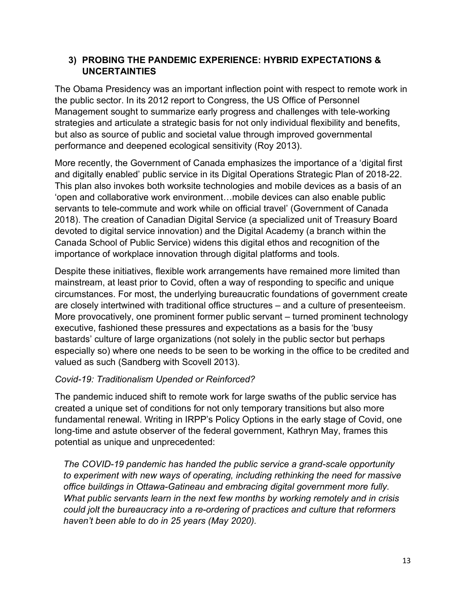## 3) PROBING THE PANDEMIC EXPERIENCE: HYBRID EXPECTATIONS & UNCERTAINTIES

The Obama Presidency was an important inflection point with respect to remote work in the public sector. In its 2012 report to Congress, the US Office of Personnel Management sought to summarize early progress and challenges with tele-working strategies and articulate a strategic basis for not only individual flexibility and benefits, but also as source of public and societal value through improved governmental performance and deepened ecological sensitivity (Roy 2013).

More recently, the Government of Canada emphasizes the importance of a 'digital first and digitally enabled' public service in its Digital Operations Strategic Plan of 2018-22. This plan also invokes both worksite technologies and mobile devices as a basis of an 'open and collaborative work environment…mobile devices can also enable public servants to tele-commute and work while on official travel' (Government of Canada 2018). The creation of Canadian Digital Service (a specialized unit of Treasury Board devoted to digital service innovation) and the Digital Academy (a branch within the Canada School of Public Service) widens this digital ethos and recognition of the importance of workplace innovation through digital platforms and tools.

Despite these initiatives, flexible work arrangements have remained more limited than mainstream, at least prior to Covid, often a way of responding to specific and unique circumstances. For most, the underlying bureaucratic foundations of government create are closely intertwined with traditional office structures – and a culture of presenteeism. More provocatively, one prominent former public servant – turned prominent technology executive, fashioned these pressures and expectations as a basis for the 'busy bastards' culture of large organizations (not solely in the public sector but perhaps especially so) where one needs to be seen to be working in the office to be credited and valued as such (Sandberg with Scovell 2013).

## Covid-19: Traditionalism Upended or Reinforced?

The pandemic induced shift to remote work for large swaths of the public service has created a unique set of conditions for not only temporary transitions but also more fundamental renewal. Writing in IRPP's Policy Options in the early stage of Covid, one long-time and astute observer of the federal government, Kathryn May, frames this potential as unique and unprecedented:

The COVID-19 pandemic has handed the public service a grand-scale opportunity to experiment with new ways of operating, including rethinking the need for massive office buildings in Ottawa-Gatineau and embracing digital government more fully. What public servants learn in the next few months by working remotely and in crisis could jolt the bureaucracy into a re-ordering of practices and culture that reformers haven't been able to do in 25 years (May 2020).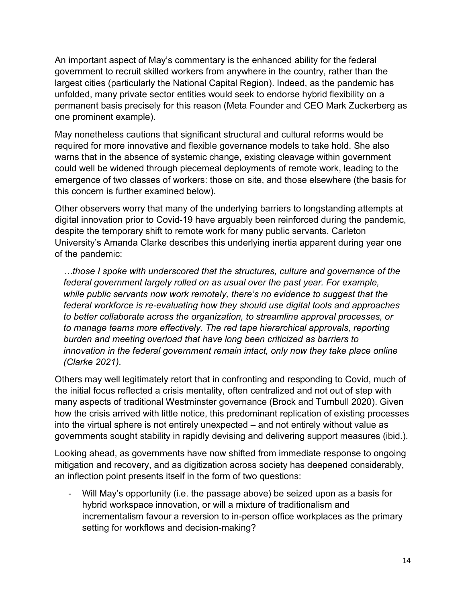An important aspect of May's commentary is the enhanced ability for the federal government to recruit skilled workers from anywhere in the country, rather than the largest cities (particularly the National Capital Region). Indeed, as the pandemic has unfolded, many private sector entities would seek to endorse hybrid flexibility on a permanent basis precisely for this reason (Meta Founder and CEO Mark Zuckerberg as one prominent example).

May nonetheless cautions that significant structural and cultural reforms would be required for more innovative and flexible governance models to take hold. She also warns that in the absence of systemic change, existing cleavage within government could well be widened through piecemeal deployments of remote work, leading to the emergence of two classes of workers: those on site, and those elsewhere (the basis for this concern is further examined below).

Other observers worry that many of the underlying barriers to longstanding attempts at digital innovation prior to Covid-19 have arguably been reinforced during the pandemic, despite the temporary shift to remote work for many public servants. Carleton University's Amanda Clarke describes this underlying inertia apparent during year one of the pandemic:

…those I spoke with underscored that the structures, culture and governance of the federal government largely rolled on as usual over the past year. For example, while public servants now work remotely, there's no evidence to suggest that the federal workforce is re-evaluating how they should use digital tools and approaches to better collaborate across the organization, to streamline approval processes, or to manage teams more effectively. The red tape hierarchical approvals, reporting burden and meeting overload that have long been criticized as barriers to innovation in the federal government remain intact, only now they take place online (Clarke 2021).

Others may well legitimately retort that in confronting and responding to Covid, much of the initial focus reflected a crisis mentality, often centralized and not out of step with many aspects of traditional Westminster governance (Brock and Turnbull 2020). Given how the crisis arrived with little notice, this predominant replication of existing processes into the virtual sphere is not entirely unexpected – and not entirely without value as governments sought stability in rapidly devising and delivering support measures (ibid.).

Looking ahead, as governments have now shifted from immediate response to ongoing mitigation and recovery, and as digitization across society has deepened considerably, an inflection point presents itself in the form of two questions:

- Will May's opportunity (i.e. the passage above) be seized upon as a basis for hybrid workspace innovation, or will a mixture of traditionalism and incrementalism favour a reversion to in-person office workplaces as the primary setting for workflows and decision-making?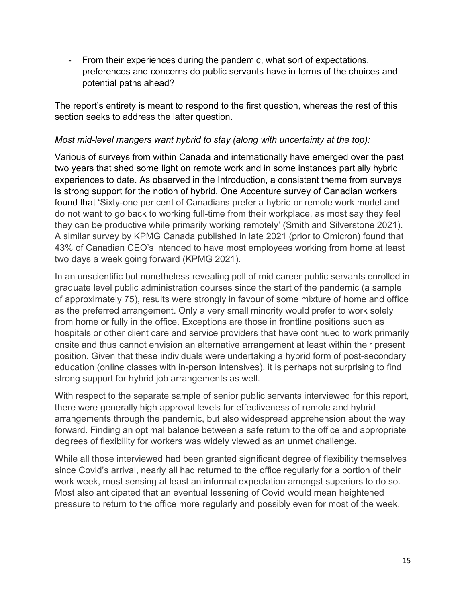- From their experiences during the pandemic, what sort of expectations, preferences and concerns do public servants have in terms of the choices and potential paths ahead?

The report's entirety is meant to respond to the first question, whereas the rest of this section seeks to address the latter question.

#### Most mid-level mangers want hybrid to stay (along with uncertainty at the top):

Various of surveys from within Canada and internationally have emerged over the past two years that shed some light on remote work and in some instances partially hybrid experiences to date. As observed in the Introduction, a consistent theme from surveys is strong support for the notion of hybrid. One Accenture survey of Canadian workers found that 'Sixty-one per cent of Canadians prefer a hybrid or remote work model and do not want to go back to working full-time from their workplace, as most say they feel they can be productive while primarily working remotely' (Smith and Silverstone 2021). A similar survey by KPMG Canada published in late 2021 (prior to Omicron) found that 43% of Canadian CEO's intended to have most employees working from home at least two days a week going forward (KPMG 2021).

In an unscientific but nonetheless revealing poll of mid career public servants enrolled in graduate level public administration courses since the start of the pandemic (a sample of approximately 75), results were strongly in favour of some mixture of home and office as the preferred arrangement. Only a very small minority would prefer to work solely from home or fully in the office. Exceptions are those in frontline positions such as hospitals or other client care and service providers that have continued to work primarily onsite and thus cannot envision an alternative arrangement at least within their present position. Given that these individuals were undertaking a hybrid form of post-secondary education (online classes with in-person intensives), it is perhaps not surprising to find strong support for hybrid job arrangements as well.

With respect to the separate sample of senior public servants interviewed for this report, there were generally high approval levels for effectiveness of remote and hybrid arrangements through the pandemic, but also widespread apprehension about the way forward. Finding an optimal balance between a safe return to the office and appropriate degrees of flexibility for workers was widely viewed as an unmet challenge.

While all those interviewed had been granted significant degree of flexibility themselves since Covid's arrival, nearly all had returned to the office regularly for a portion of their work week, most sensing at least an informal expectation amongst superiors to do so. Most also anticipated that an eventual lessening of Covid would mean heightened pressure to return to the office more regularly and possibly even for most of the week.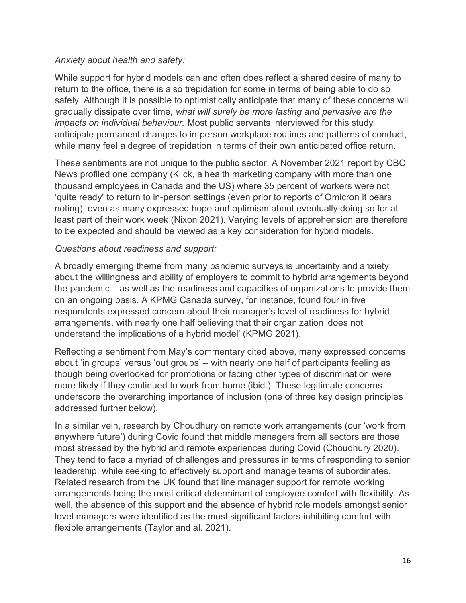## Anxiety about health and safety:

While support for hybrid models can and often does reflect a shared desire of many to return to the office, there is also trepidation for some in terms of being able to do so safely. Although it is possible to optimistically anticipate that many of these concerns will gradually dissipate over time, what will surely be more lasting and pervasive are the impacts on individual behaviour. Most public servants interviewed for this study anticipate permanent changes to in-person workplace routines and patterns of conduct, while many feel a degree of trepidation in terms of their own anticipated office return.

These sentiments are not unique to the public sector. A November 2021 report by CBC News profiled one company (Klick, a health marketing company with more than one thousand employees in Canada and the US) where 35 percent of workers were not 'quite ready' to return to in-person settings (even prior to reports of Omicron it bears noting), even as many expressed hope and optimism about eventually doing so for at least part of their work week (Nixon 2021). Varying levels of apprehension are therefore to be expected and should be viewed as a key consideration for hybrid models.

#### Questions about readiness and support:

A broadly emerging theme from many pandemic surveys is uncertainty and anxiety about the willingness and ability of employers to commit to hybrid arrangements beyond the pandemic – as well as the readiness and capacities of organizations to provide them on an ongoing basis. A KPMG Canada survey, for instance, found four in five respondents expressed concern about their manager's level of readiness for hybrid arrangements, with nearly one half believing that their organization 'does not understand the implications of a hybrid model' (KPMG 2021).

Reflecting a sentiment from May's commentary cited above, many expressed concerns about 'in groups' versus 'out groups' – with nearly one half of participants feeling as though being overlooked for promotions or facing other types of discrimination were more likely if they continued to work from home (ibid.). These legitimate concerns underscore the overarching importance of inclusion (one of three key design principles addressed further below).

In a similar vein, research by Choudhury on remote work arrangements (our 'work from anywhere future') during Covid found that middle managers from all sectors are those most stressed by the hybrid and remote experiences during Covid (Choudhury 2020). They tend to face a myriad of challenges and pressures in terms of responding to senior leadership, while seeking to effectively support and manage teams of subordinates. Related research from the UK found that line manager support for remote working arrangements being the most critical determinant of employee comfort with flexibility. As well, the absence of this support and the absence of hybrid role models amongst senior level managers were identified as the most significant factors inhibiting comfort with flexible arrangements (Taylor and al. 2021).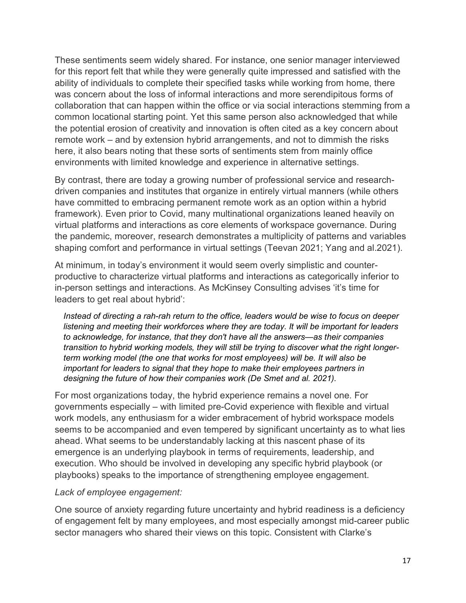These sentiments seem widely shared. For instance, one senior manager interviewed for this report felt that while they were generally quite impressed and satisfied with the ability of individuals to complete their specified tasks while working from home, there was concern about the loss of informal interactions and more serendipitous forms of collaboration that can happen within the office or via social interactions stemming from a common locational starting point. Yet this same person also acknowledged that while the potential erosion of creativity and innovation is often cited as a key concern about remote work – and by extension hybrid arrangements, and not to dimmish the risks here, it also bears noting that these sorts of sentiments stem from mainly office environments with limited knowledge and experience in alternative settings.

By contrast, there are today a growing number of professional service and researchdriven companies and institutes that organize in entirely virtual manners (while others have committed to embracing permanent remote work as an option within a hybrid framework). Even prior to Covid, many multinational organizations leaned heavily on virtual platforms and interactions as core elements of workspace governance. During the pandemic, moreover, research demonstrates a multiplicity of patterns and variables shaping comfort and performance in virtual settings (Teevan 2021; Yang and al.2021).

At minimum, in today's environment it would seem overly simplistic and counterproductive to characterize virtual platforms and interactions as categorically inferior to in-person settings and interactions. As McKinsey Consulting advises 'it's time for leaders to get real about hybrid':

Instead of directing a rah-rah return to the office, leaders would be wise to focus on deeper listening and meeting their workforces where they are today. It will be important for leaders to acknowledge, for instance, that they don't have all the answers—as their companies transition to hybrid working models, they will still be trying to discover what the right longerterm working model (the one that works for most employees) will be. It will also be important for leaders to signal that they hope to make their employees partners in designing the future of how their companies work (De Smet and al. 2021).

For most organizations today, the hybrid experience remains a novel one. For governments especially – with limited pre-Covid experience with flexible and virtual work models, any enthusiasm for a wider embracement of hybrid workspace models seems to be accompanied and even tempered by significant uncertainty as to what lies ahead. What seems to be understandably lacking at this nascent phase of its emergence is an underlying playbook in terms of requirements, leadership, and execution. Who should be involved in developing any specific hybrid playbook (or playbooks) speaks to the importance of strengthening employee engagement.

#### Lack of employee engagement:

One source of anxiety regarding future uncertainty and hybrid readiness is a deficiency of engagement felt by many employees, and most especially amongst mid-career public sector managers who shared their views on this topic. Consistent with Clarke's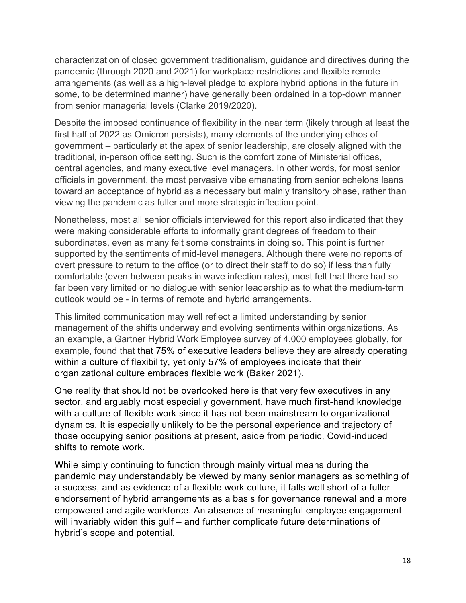characterization of closed government traditionalism, guidance and directives during the pandemic (through 2020 and 2021) for workplace restrictions and flexible remote arrangements (as well as a high-level pledge to explore hybrid options in the future in some, to be determined manner) have generally been ordained in a top-down manner from senior managerial levels (Clarke 2019/2020).

Despite the imposed continuance of flexibility in the near term (likely through at least the first half of 2022 as Omicron persists), many elements of the underlying ethos of government – particularly at the apex of senior leadership, are closely aligned with the traditional, in-person office setting. Such is the comfort zone of Ministerial offices, central agencies, and many executive level managers. In other words, for most senior officials in government, the most pervasive vibe emanating from senior echelons leans toward an acceptance of hybrid as a necessary but mainly transitory phase, rather than viewing the pandemic as fuller and more strategic inflection point.

Nonetheless, most all senior officials interviewed for this report also indicated that they were making considerable efforts to informally grant degrees of freedom to their subordinates, even as many felt some constraints in doing so. This point is further supported by the sentiments of mid-level managers. Although there were no reports of overt pressure to return to the office (or to direct their staff to do so) if less than fully comfortable (even between peaks in wave infection rates), most felt that there had so far been very limited or no dialogue with senior leadership as to what the medium-term outlook would be - in terms of remote and hybrid arrangements.

This limited communication may well reflect a limited understanding by senior management of the shifts underway and evolving sentiments within organizations. As an example, a Gartner Hybrid Work Employee survey of 4,000 employees globally, for example, found that that 75% of executive leaders believe they are already operating within a culture of flexibility, yet only 57% of employees indicate that their organizational culture embraces flexible work (Baker 2021).

One reality that should not be overlooked here is that very few executives in any sector, and arguably most especially government, have much first-hand knowledge with a culture of flexible work since it has not been mainstream to organizational dynamics. It is especially unlikely to be the personal experience and trajectory of those occupying senior positions at present, aside from periodic, Covid-induced shifts to remote work.

While simply continuing to function through mainly virtual means during the pandemic may understandably be viewed by many senior managers as something of a success, and as evidence of a flexible work culture, it falls well short of a fuller endorsement of hybrid arrangements as a basis for governance renewal and a more empowered and agile workforce. An absence of meaningful employee engagement will invariably widen this gulf – and further complicate future determinations of hybrid's scope and potential.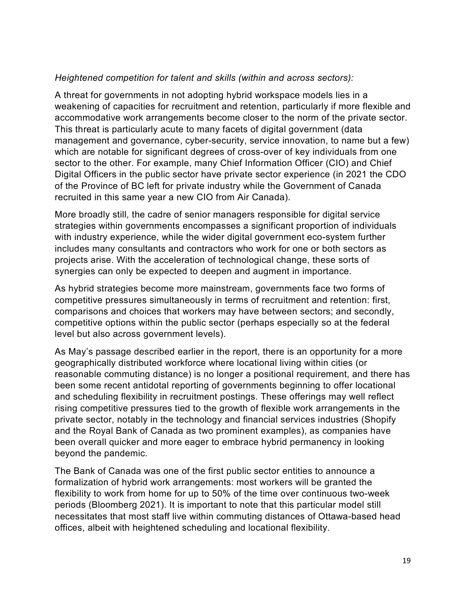#### Heightened competition for talent and skills (within and across sectors):

A threat for governments in not adopting hybrid workspace models lies in a weakening of capacities for recruitment and retention, particularly if more flexible and accommodative work arrangements become closer to the norm of the private sector. This threat is particularly acute to many facets of digital government (data management and governance, cyber-security, service innovation, to name but a few) which are notable for significant degrees of cross-over of key individuals from one sector to the other. For example, many Chief Information Officer (CIO) and Chief Digital Officers in the public sector have private sector experience (in 2021 the CDO of the Province of BC left for private industry while the Government of Canada recruited in this same year a new CIO from Air Canada).

More broadly still, the cadre of senior managers responsible for digital service strategies within governments encompasses a significant proportion of individuals with industry experience, while the wider digital government eco-system further includes many consultants and contractors who work for one or both sectors as projects arise. With the acceleration of technological change, these sorts of synergies can only be expected to deepen and augment in importance.

As hybrid strategies become more mainstream, governments face two forms of competitive pressures simultaneously in terms of recruitment and retention: first, comparisons and choices that workers may have between sectors; and secondly, competitive options within the public sector (perhaps especially so at the federal level but also across government levels).

As May's passage described earlier in the report, there is an opportunity for a more geographically distributed workforce where locational living within cities (or reasonable commuting distance) is no longer a positional requirement, and there has been some recent antidotal reporting of governments beginning to offer locational and scheduling flexibility in recruitment postings. These offerings may well reflect rising competitive pressures tied to the growth of flexible work arrangements in the private sector, notably in the technology and financial services industries (Shopify and the Royal Bank of Canada as two prominent examples), as companies have been overall quicker and more eager to embrace hybrid permanency in looking beyond the pandemic.

The Bank of Canada was one of the first public sector entities to announce a formalization of hybrid work arrangements: most workers will be granted the flexibility to work from home for up to 50% of the time over continuous two-week periods (Bloomberg 2021). It is important to note that this particular model still necessitates that most staff live within commuting distances of Ottawa-based head offices, albeit with heightened scheduling and locational flexibility.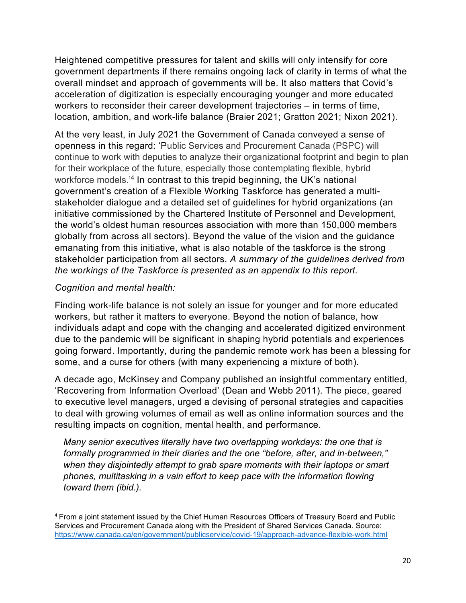Heightened competitive pressures for talent and skills will only intensify for core government departments if there remains ongoing lack of clarity in terms of what the overall mindset and approach of governments will be. It also matters that Covid's acceleration of digitization is especially encouraging younger and more educated workers to reconsider their career development trajectories – in terms of time, location, ambition, and work-life balance (Braier 2021; Gratton 2021; Nixon 2021).

At the very least, in July 2021 the Government of Canada conveyed a sense of openness in this regard: 'Public Services and Procurement Canada (PSPC) will continue to work with deputies to analyze their organizational footprint and begin to plan for their workplace of the future, especially those contemplating flexible, hybrid workforce models.'<sup>4</sup> In contrast to this trepid beginning, the UK's national government's creation of a Flexible Working Taskforce has generated a multistakeholder dialogue and a detailed set of guidelines for hybrid organizations (an initiative commissioned by the Chartered Institute of Personnel and Development, the world's oldest human resources association with more than 150,000 members globally from across all sectors). Beyond the value of the vision and the guidance emanating from this initiative, what is also notable of the taskforce is the strong stakeholder participation from all sectors. A summary of the guidelines derived from the workings of the Taskforce is presented as an appendix to this report.

## Cognition and mental health:

Finding work-life balance is not solely an issue for younger and for more educated workers, but rather it matters to everyone. Beyond the notion of balance, how individuals adapt and cope with the changing and accelerated digitized environment due to the pandemic will be significant in shaping hybrid potentials and experiences going forward. Importantly, during the pandemic remote work has been a blessing for some, and a curse for others (with many experiencing a mixture of both).

A decade ago, McKinsey and Company published an insightful commentary entitled, 'Recovering from Information Overload' (Dean and Webb 2011). The piece, geared to executive level managers, urged a devising of personal strategies and capacities to deal with growing volumes of email as well as online information sources and the resulting impacts on cognition, mental health, and performance.

Many senior executives literally have two overlapping workdays: the one that is formally programmed in their diaries and the one "before, after, and in-between," when they disjointedly attempt to grab spare moments with their laptops or smart phones, multitasking in a vain effort to keep pace with the information flowing toward them (ibid.).

<sup>4</sup> From a joint statement issued by the Chief Human Resources Officers of Treasury Board and Public Services and Procurement Canada along with the President of Shared Services Canada. Source: https://www.canada.ca/en/government/publicservice/covid-19/approach-advance-flexible-work.html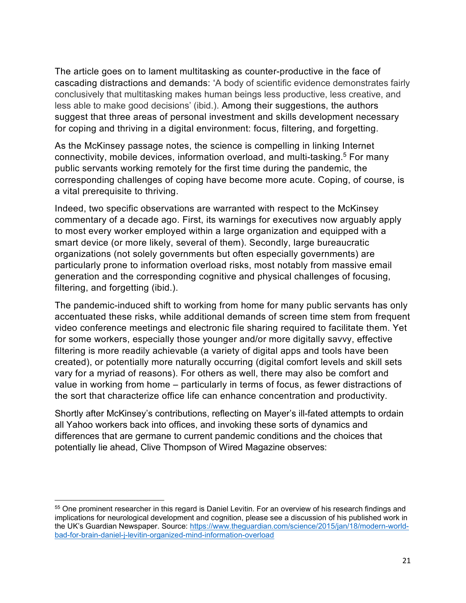The article goes on to lament multitasking as counter-productive in the face of cascading distractions and demands: 'A body of scientific evidence demonstrates fairly conclusively that multitasking makes human beings less productive, less creative, and less able to make good decisions' (ibid.). Among their suggestions, the authors suggest that three areas of personal investment and skills development necessary for coping and thriving in a digital environment: focus, filtering, and forgetting.

As the McKinsey passage notes, the science is compelling in linking Internet connectivity, mobile devices, information overload, and multi-tasking.<sup>5</sup> For many public servants working remotely for the first time during the pandemic, the corresponding challenges of coping have become more acute. Coping, of course, is a vital prerequisite to thriving.

Indeed, two specific observations are warranted with respect to the McKinsey commentary of a decade ago. First, its warnings for executives now arguably apply to most every worker employed within a large organization and equipped with a smart device (or more likely, several of them). Secondly, large bureaucratic organizations (not solely governments but often especially governments) are particularly prone to information overload risks, most notably from massive email generation and the corresponding cognitive and physical challenges of focusing, filtering, and forgetting (ibid.).

The pandemic-induced shift to working from home for many public servants has only accentuated these risks, while additional demands of screen time stem from frequent video conference meetings and electronic file sharing required to facilitate them. Yet for some workers, especially those younger and/or more digitally savvy, effective filtering is more readily achievable (a variety of digital apps and tools have been created), or potentially more naturally occurring (digital comfort levels and skill sets vary for a myriad of reasons). For others as well, there may also be comfort and value in working from home – particularly in terms of focus, as fewer distractions of the sort that characterize office life can enhance concentration and productivity.

Shortly after McKinsey's contributions, reflecting on Mayer's ill-fated attempts to ordain all Yahoo workers back into offices, and invoking these sorts of dynamics and differences that are germane to current pandemic conditions and the choices that potentially lie ahead, Clive Thompson of Wired Magazine observes:

<sup>55</sup> One prominent researcher in this regard is Daniel Levitin. For an overview of his research findings and implications for neurological development and cognition, please see a discussion of his published work in the UK's Guardian Newspaper. Source: https://www.theguardian.com/science/2015/jan/18/modern-worldbad-for-brain-daniel-j-levitin-organized-mind-information-overload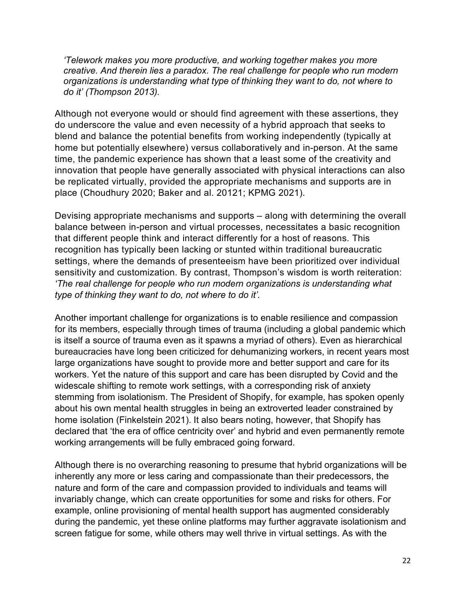'Telework makes you more productive, and working together makes you more creative. And therein lies a paradox. The real challenge for people who run modern organizations is understanding what type of thinking they want to do, not where to do it' (Thompson 2013).

Although not everyone would or should find agreement with these assertions, they do underscore the value and even necessity of a hybrid approach that seeks to blend and balance the potential benefits from working independently (typically at home but potentially elsewhere) versus collaboratively and in-person. At the same time, the pandemic experience has shown that a least some of the creativity and innovation that people have generally associated with physical interactions can also be replicated virtually, provided the appropriate mechanisms and supports are in place (Choudhury 2020; Baker and al. 20121; KPMG 2021).

Devising appropriate mechanisms and supports – along with determining the overall balance between in-person and virtual processes, necessitates a basic recognition that different people think and interact differently for a host of reasons. This recognition has typically been lacking or stunted within traditional bureaucratic settings, where the demands of presenteeism have been prioritized over individual sensitivity and customization. By contrast, Thompson's wisdom is worth reiteration: 'The real challenge for people who run modern organizations is understanding what type of thinking they want to do, not where to do it'.

Another important challenge for organizations is to enable resilience and compassion for its members, especially through times of trauma (including a global pandemic which is itself a source of trauma even as it spawns a myriad of others). Even as hierarchical bureaucracies have long been criticized for dehumanizing workers, in recent years most large organizations have sought to provide more and better support and care for its workers. Yet the nature of this support and care has been disrupted by Covid and the widescale shifting to remote work settings, with a corresponding risk of anxiety stemming from isolationism. The President of Shopify, for example, has spoken openly about his own mental health struggles in being an extroverted leader constrained by home isolation (Finkelstein 2021). It also bears noting, however, that Shopify has declared that 'the era of office centricity over' and hybrid and even permanently remote working arrangements will be fully embraced going forward.

Although there is no overarching reasoning to presume that hybrid organizations will be inherently any more or less caring and compassionate than their predecessors, the nature and form of the care and compassion provided to individuals and teams will invariably change, which can create opportunities for some and risks for others. For example, online provisioning of mental health support has augmented considerably during the pandemic, yet these online platforms may further aggravate isolationism and screen fatigue for some, while others may well thrive in virtual settings. As with the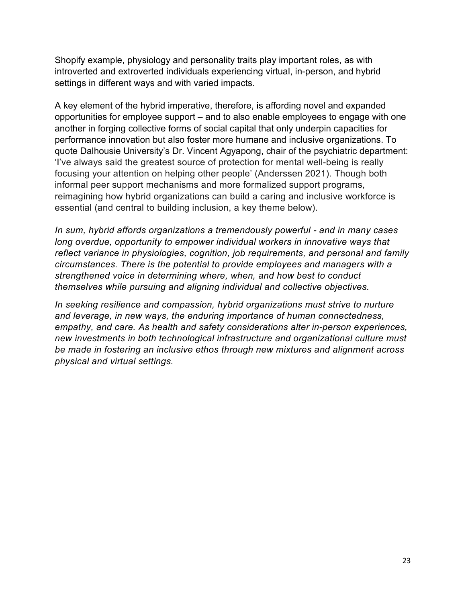Shopify example, physiology and personality traits play important roles, as with introverted and extroverted individuals experiencing virtual, in-person, and hybrid settings in different ways and with varied impacts.

A key element of the hybrid imperative, therefore, is affording novel and expanded opportunities for employee support – and to also enable employees to engage with one another in forging collective forms of social capital that only underpin capacities for performance innovation but also foster more humane and inclusive organizations. To quote Dalhousie University's Dr. Vincent Agyapong, chair of the psychiatric department: 'I've always said the greatest source of protection for mental well-being is really focusing your attention on helping other people' (Anderssen 2021). Though both informal peer support mechanisms and more formalized support programs, reimagining how hybrid organizations can build a caring and inclusive workforce is essential (and central to building inclusion, a key theme below).

In sum, hybrid affords organizations a tremendously powerful - and in many cases long overdue, opportunity to empower individual workers in innovative ways that reflect variance in physiologies, cognition, job requirements, and personal and family circumstances. There is the potential to provide employees and managers with a strengthened voice in determining where, when, and how best to conduct themselves while pursuing and aligning individual and collective objectives.

In seeking resilience and compassion, hybrid organizations must strive to nurture and leverage, in new ways, the enduring importance of human connectedness, empathy, and care. As health and safety considerations alter in-person experiences, new investments in both technological infrastructure and organizational culture must be made in fostering an inclusive ethos through new mixtures and alignment across physical and virtual settings.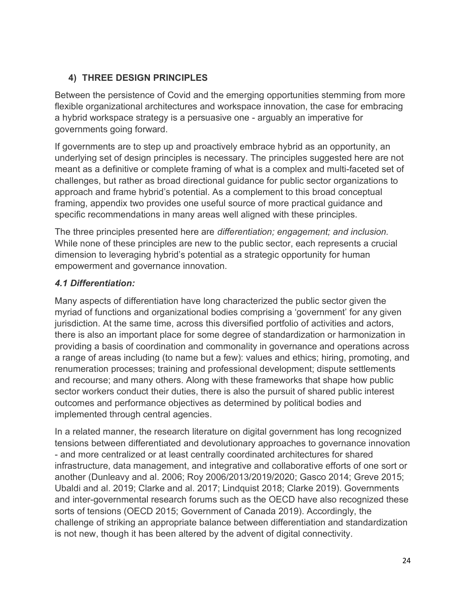## 4) THREE DESIGN PRINCIPLES

Between the persistence of Covid and the emerging opportunities stemming from more flexible organizational architectures and workspace innovation, the case for embracing a hybrid workspace strategy is a persuasive one - arguably an imperative for governments going forward.

If governments are to step up and proactively embrace hybrid as an opportunity, an underlying set of design principles is necessary. The principles suggested here are not meant as a definitive or complete framing of what is a complex and multi-faceted set of challenges, but rather as broad directional guidance for public sector organizations to approach and frame hybrid's potential. As a complement to this broad conceptual framing, appendix two provides one useful source of more practical guidance and specific recommendations in many areas well aligned with these principles.

The three principles presented here are differentiation; engagement; and inclusion. While none of these principles are new to the public sector, each represents a crucial dimension to leveraging hybrid's potential as a strategic opportunity for human empowerment and governance innovation.

## 4.1 Differentiation:

Many aspects of differentiation have long characterized the public sector given the myriad of functions and organizational bodies comprising a 'government' for any given jurisdiction. At the same time, across this diversified portfolio of activities and actors, there is also an important place for some degree of standardization or harmonization in providing a basis of coordination and commonality in governance and operations across a range of areas including (to name but a few): values and ethics; hiring, promoting, and renumeration processes; training and professional development; dispute settlements and recourse; and many others. Along with these frameworks that shape how public sector workers conduct their duties, there is also the pursuit of shared public interest outcomes and performance objectives as determined by political bodies and implemented through central agencies.

In a related manner, the research literature on digital government has long recognized tensions between differentiated and devolutionary approaches to governance innovation - and more centralized or at least centrally coordinated architectures for shared infrastructure, data management, and integrative and collaborative efforts of one sort or another (Dunleavy and al. 2006; Roy 2006/2013/2019/2020; Gasco 2014; Greve 2015; Ubaldi and al. 2019; Clarke and al. 2017; Lindquist 2018; Clarke 2019). Governments and inter-governmental research forums such as the OECD have also recognized these sorts of tensions (OECD 2015; Government of Canada 2019). Accordingly, the challenge of striking an appropriate balance between differentiation and standardization is not new, though it has been altered by the advent of digital connectivity.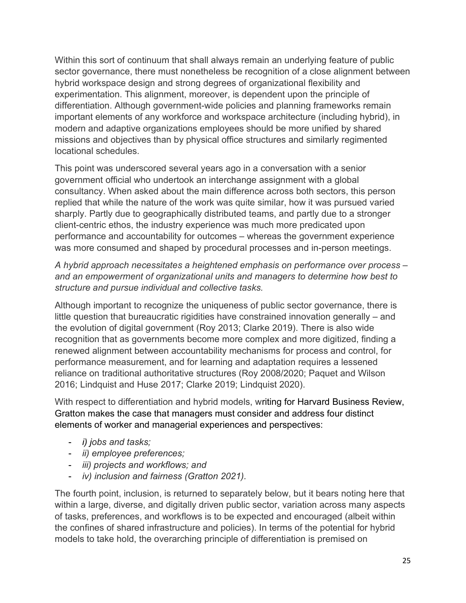Within this sort of continuum that shall always remain an underlying feature of public sector governance, there must nonetheless be recognition of a close alignment between hybrid workspace design and strong degrees of organizational flexibility and experimentation. This alignment, moreover, is dependent upon the principle of differentiation. Although government-wide policies and planning frameworks remain important elements of any workforce and workspace architecture (including hybrid), in modern and adaptive organizations employees should be more unified by shared missions and objectives than by physical office structures and similarly regimented locational schedules.

This point was underscored several years ago in a conversation with a senior government official who undertook an interchange assignment with a global consultancy. When asked about the main difference across both sectors, this person replied that while the nature of the work was quite similar, how it was pursued varied sharply. Partly due to geographically distributed teams, and partly due to a stronger client-centric ethos, the industry experience was much more predicated upon performance and accountability for outcomes – whereas the government experience was more consumed and shaped by procedural processes and in-person meetings.

A hybrid approach necessitates a heightened emphasis on performance over process – and an empowerment of organizational units and managers to determine how best to structure and pursue individual and collective tasks.

Although important to recognize the uniqueness of public sector governance, there is little question that bureaucratic rigidities have constrained innovation generally – and the evolution of digital government (Roy 2013; Clarke 2019). There is also wide recognition that as governments become more complex and more digitized, finding a renewed alignment between accountability mechanisms for process and control, for performance measurement, and for learning and adaptation requires a lessened reliance on traditional authoritative structures (Roy 2008/2020; Paquet and Wilson 2016; Lindquist and Huse 2017; Clarke 2019; Lindquist 2020).

With respect to differentiation and hybrid models, writing for Harvard Business Review, Gratton makes the case that managers must consider and address four distinct elements of worker and managerial experiences and perspectives:

- i) jobs and tasks;
- ii) employee preferences;
- iii) projects and workflows; and
- iv) inclusion and fairness (Gratton 2021).

The fourth point, inclusion, is returned to separately below, but it bears noting here that within a large, diverse, and digitally driven public sector, variation across many aspects of tasks, preferences, and workflows is to be expected and encouraged (albeit within the confines of shared infrastructure and policies). In terms of the potential for hybrid models to take hold, the overarching principle of differentiation is premised on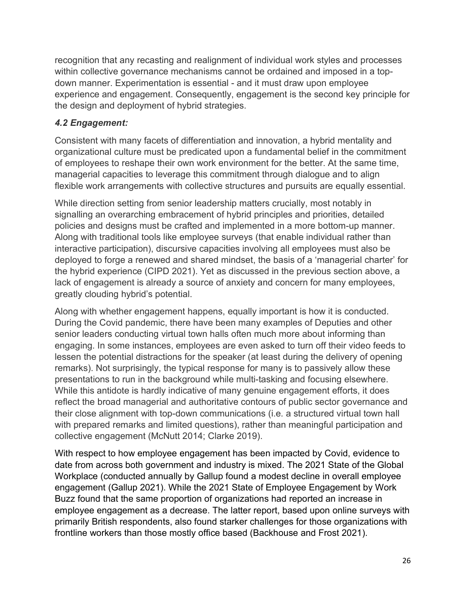recognition that any recasting and realignment of individual work styles and processes within collective governance mechanisms cannot be ordained and imposed in a topdown manner. Experimentation is essential - and it must draw upon employee experience and engagement. Consequently, engagement is the second key principle for the design and deployment of hybrid strategies.

## 4.2 Engagement:

Consistent with many facets of differentiation and innovation, a hybrid mentality and organizational culture must be predicated upon a fundamental belief in the commitment of employees to reshape their own work environment for the better. At the same time, managerial capacities to leverage this commitment through dialogue and to align flexible work arrangements with collective structures and pursuits are equally essential.

While direction setting from senior leadership matters crucially, most notably in signalling an overarching embracement of hybrid principles and priorities, detailed policies and designs must be crafted and implemented in a more bottom-up manner. Along with traditional tools like employee surveys (that enable individual rather than interactive participation), discursive capacities involving all employees must also be deployed to forge a renewed and shared mindset, the basis of a 'managerial charter' for the hybrid experience (CIPD 2021). Yet as discussed in the previous section above, a lack of engagement is already a source of anxiety and concern for many employees, greatly clouding hybrid's potential.

Along with whether engagement happens, equally important is how it is conducted. During the Covid pandemic, there have been many examples of Deputies and other senior leaders conducting virtual town halls often much more about informing than engaging. In some instances, employees are even asked to turn off their video feeds to lessen the potential distractions for the speaker (at least during the delivery of opening remarks). Not surprisingly, the typical response for many is to passively allow these presentations to run in the background while multi-tasking and focusing elsewhere. While this antidote is hardly indicative of many genuine engagement efforts, it does reflect the broad managerial and authoritative contours of public sector governance and their close alignment with top-down communications (i.e. a structured virtual town hall with prepared remarks and limited questions), rather than meaningful participation and collective engagement (McNutt 2014; Clarke 2019).

With respect to how employee engagement has been impacted by Covid, evidence to date from across both government and industry is mixed. The 2021 State of the Global Workplace (conducted annually by Gallup found a modest decline in overall employee engagement (Gallup 2021). While the 2021 State of Employee Engagement by Work Buzz found that the same proportion of organizations had reported an increase in employee engagement as a decrease. The latter report, based upon online surveys with primarily British respondents, also found starker challenges for those organizations with frontline workers than those mostly office based (Backhouse and Frost 2021).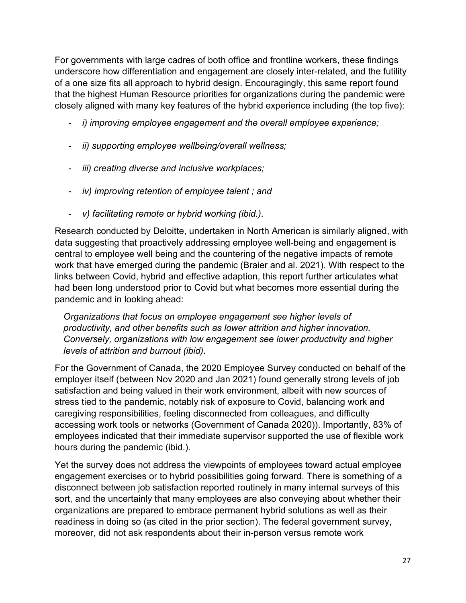For governments with large cadres of both office and frontline workers, these findings underscore how differentiation and engagement are closely inter-related, and the futility of a one size fits all approach to hybrid design. Encouragingly, this same report found that the highest Human Resource priorities for organizations during the pandemic were closely aligned with many key features of the hybrid experience including (the top five):

- i) improving employee engagement and the overall employee experience;
- ii) supporting employee wellbeing/overall wellness;
- iii) creating diverse and inclusive workplaces;
- iv) improving retention of employee talent ; and
- v) facilitating remote or hybrid working (ibid.).

Research conducted by Deloitte, undertaken in North American is similarly aligned, with data suggesting that proactively addressing employee well-being and engagement is central to employee well being and the countering of the negative impacts of remote work that have emerged during the pandemic (Braier and al. 2021). With respect to the links between Covid, hybrid and effective adaption, this report further articulates what had been long understood prior to Covid but what becomes more essential during the pandemic and in looking ahead:

Organizations that focus on employee engagement see higher levels of productivity, and other benefits such as lower attrition and higher innovation. Conversely, organizations with low engagement see lower productivity and higher levels of attrition and burnout (ibid).

For the Government of Canada, the 2020 Employee Survey conducted on behalf of the employer itself (between Nov 2020 and Jan 2021) found generally strong levels of job satisfaction and being valued in their work environment, albeit with new sources of stress tied to the pandemic, notably risk of exposure to Covid, balancing work and caregiving responsibilities, feeling disconnected from colleagues, and difficulty accessing work tools or networks (Government of Canada 2020)). Importantly, 83% of employees indicated that their immediate supervisor supported the use of flexible work hours during the pandemic (ibid.).

Yet the survey does not address the viewpoints of employees toward actual employee engagement exercises or to hybrid possibilities going forward. There is something of a disconnect between job satisfaction reported routinely in many internal surveys of this sort, and the uncertainly that many employees are also conveying about whether their organizations are prepared to embrace permanent hybrid solutions as well as their readiness in doing so (as cited in the prior section). The federal government survey, moreover, did not ask respondents about their in-person versus remote work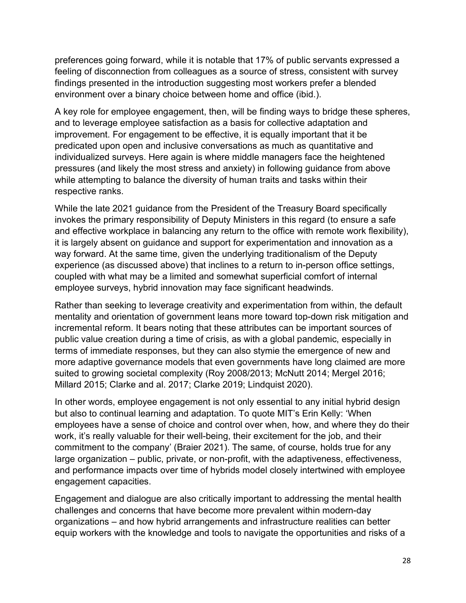preferences going forward, while it is notable that 17% of public servants expressed a feeling of disconnection from colleagues as a source of stress, consistent with survey findings presented in the introduction suggesting most workers prefer a blended environment over a binary choice between home and office (ibid.).

A key role for employee engagement, then, will be finding ways to bridge these spheres, and to leverage employee satisfaction as a basis for collective adaptation and improvement. For engagement to be effective, it is equally important that it be predicated upon open and inclusive conversations as much as quantitative and individualized surveys. Here again is where middle managers face the heightened pressures (and likely the most stress and anxiety) in following guidance from above while attempting to balance the diversity of human traits and tasks within their respective ranks.

While the late 2021 guidance from the President of the Treasury Board specifically invokes the primary responsibility of Deputy Ministers in this regard (to ensure a safe and effective workplace in balancing any return to the office with remote work flexibility), it is largely absent on guidance and support for experimentation and innovation as a way forward. At the same time, given the underlying traditionalism of the Deputy experience (as discussed above) that inclines to a return to in-person office settings, coupled with what may be a limited and somewhat superficial comfort of internal employee surveys, hybrid innovation may face significant headwinds.

Rather than seeking to leverage creativity and experimentation from within, the default mentality and orientation of government leans more toward top-down risk mitigation and incremental reform. It bears noting that these attributes can be important sources of public value creation during a time of crisis, as with a global pandemic, especially in terms of immediate responses, but they can also stymie the emergence of new and more adaptive governance models that even governments have long claimed are more suited to growing societal complexity (Roy 2008/2013; McNutt 2014; Mergel 2016; Millard 2015; Clarke and al. 2017; Clarke 2019; Lindquist 2020).

In other words, employee engagement is not only essential to any initial hybrid design but also to continual learning and adaptation. To quote MIT's Erin Kelly: 'When employees have a sense of choice and control over when, how, and where they do their work, it's really valuable for their well-being, their excitement for the job, and their commitment to the company' (Braier 2021). The same, of course, holds true for any large organization – public, private, or non-profit, with the adaptiveness, effectiveness, and performance impacts over time of hybrids model closely intertwined with employee engagement capacities.

Engagement and dialogue are also critically important to addressing the mental health challenges and concerns that have become more prevalent within modern-day organizations – and how hybrid arrangements and infrastructure realities can better equip workers with the knowledge and tools to navigate the opportunities and risks of a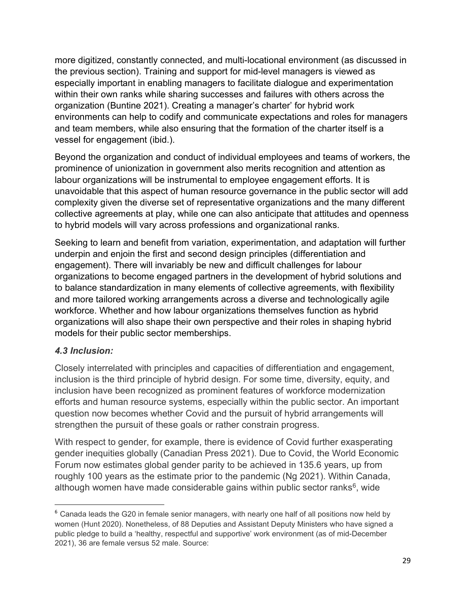more digitized, constantly connected, and multi-locational environment (as discussed in the previous section). Training and support for mid-level managers is viewed as especially important in enabling managers to facilitate dialogue and experimentation within their own ranks while sharing successes and failures with others across the organization (Buntine 2021). Creating a manager's charter' for hybrid work environments can help to codify and communicate expectations and roles for managers and team members, while also ensuring that the formation of the charter itself is a vessel for engagement (ibid.).

Beyond the organization and conduct of individual employees and teams of workers, the prominence of unionization in government also merits recognition and attention as labour organizations will be instrumental to employee engagement efforts. It is unavoidable that this aspect of human resource governance in the public sector will add complexity given the diverse set of representative organizations and the many different collective agreements at play, while one can also anticipate that attitudes and openness to hybrid models will vary across professions and organizational ranks.

Seeking to learn and benefit from variation, experimentation, and adaptation will further underpin and enjoin the first and second design principles (differentiation and engagement). There will invariably be new and difficult challenges for labour organizations to become engaged partners in the development of hybrid solutions and to balance standardization in many elements of collective agreements, with flexibility and more tailored working arrangements across a diverse and technologically agile workforce. Whether and how labour organizations themselves function as hybrid organizations will also shape their own perspective and their roles in shaping hybrid models for their public sector memberships.

## 4.3 Inclusion:

Closely interrelated with principles and capacities of differentiation and engagement, inclusion is the third principle of hybrid design. For some time, diversity, equity, and inclusion have been recognized as prominent features of workforce modernization efforts and human resource systems, especially within the public sector. An important question now becomes whether Covid and the pursuit of hybrid arrangements will strengthen the pursuit of these goals or rather constrain progress.

With respect to gender, for example, there is evidence of Covid further exasperating gender inequities globally (Canadian Press 2021). Due to Covid, the World Economic Forum now estimates global gender parity to be achieved in 135.6 years, up from roughly 100 years as the estimate prior to the pandemic (Ng 2021). Within Canada, although women have made considerable gains within public sector ranks $\rm^6$ , wide

<sup>&</sup>lt;sup>6</sup> Canada leads the G20 in female senior managers, with nearly one half of all positions now held by women (Hunt 2020). Nonetheless, of 88 Deputies and Assistant Deputy Ministers who have signed a public pledge to build a 'healthy, respectful and supportive' work environment (as of mid-December 2021), 36 are female versus 52 male. Source: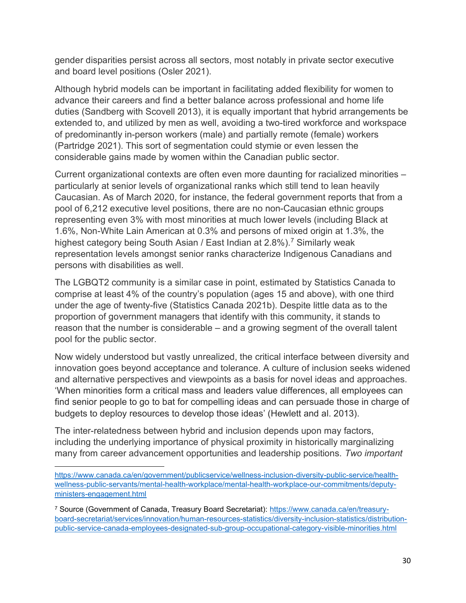gender disparities persist across all sectors, most notably in private sector executive and board level positions (Osler 2021).

Although hybrid models can be important in facilitating added flexibility for women to advance their careers and find a better balance across professional and home life duties (Sandberg with Scovell 2013), it is equally important that hybrid arrangements be extended to, and utilized by men as well, avoiding a two-tired workforce and workspace of predominantly in-person workers (male) and partially remote (female) workers (Partridge 2021). This sort of segmentation could stymie or even lessen the considerable gains made by women within the Canadian public sector.

Current organizational contexts are often even more daunting for racialized minorities – particularly at senior levels of organizational ranks which still tend to lean heavily Caucasian. As of March 2020, for instance, the federal government reports that from a pool of 6,212 executive level positions, there are no non-Caucasian ethnic groups representing even 3% with most minorities at much lower levels (including Black at 1.6%, Non-White Lain American at 0.3% and persons of mixed origin at 1.3%, the highest category being South Asian / East Indian at 2.8%).<sup>7</sup> Similarly weak representation levels amongst senior ranks characterize Indigenous Canadians and persons with disabilities as well.

The LGBQT2 community is a similar case in point, estimated by Statistics Canada to comprise at least 4% of the country's population (ages 15 and above), with one third under the age of twenty-five (Statistics Canada 2021b). Despite little data as to the proportion of government managers that identify with this community, it stands to reason that the number is considerable – and a growing segment of the overall talent pool for the public sector.

Now widely understood but vastly unrealized, the critical interface between diversity and innovation goes beyond acceptance and tolerance. A culture of inclusion seeks widened and alternative perspectives and viewpoints as a basis for novel ideas and approaches. 'When minorities form a critical mass and leaders value differences, all employees can find senior people to go to bat for compelling ideas and can persuade those in charge of budgets to deploy resources to develop those ideas' (Hewlett and al. 2013).

The inter-relatedness between hybrid and inclusion depends upon may factors, including the underlying importance of physical proximity in historically marginalizing many from career advancement opportunities and leadership positions. Two important

https://www.canada.ca/en/government/publicservice/wellness-inclusion-diversity-public-service/healthwellness-public-servants/mental-health-workplace/mental-health-workplace-our-commitments/deputyministers-engagement.html

<sup>&</sup>lt;sup>7</sup> Source (Government of Canada, Treasury Board Secretariat): <u>https://www.canada.ca/en/treasury-</u> board-secretariat/services/innovation/human-resources-statistics/diversity-inclusion-statistics/distributionpublic-service-canada-employees-designated-sub-group-occupational-category-visible-minorities.html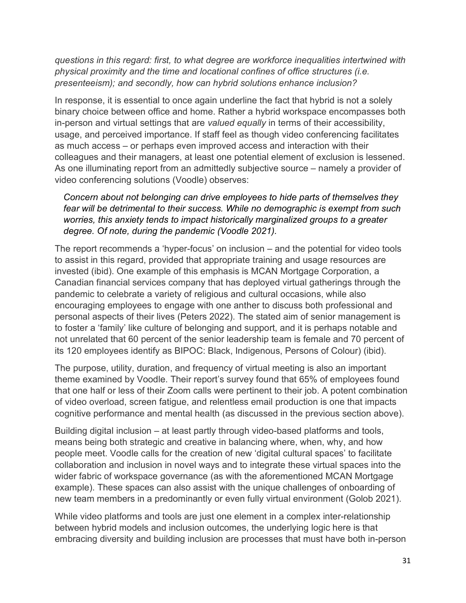questions in this regard: first, to what degree are workforce inequalities intertwined with physical proximity and the time and locational confines of office structures (i.e. presenteeism); and secondly, how can hybrid solutions enhance inclusion?

In response, it is essential to once again underline the fact that hybrid is not a solely binary choice between office and home. Rather a hybrid workspace encompasses both in-person and virtual settings that are valued equally in terms of their accessibility, usage, and perceived importance. If staff feel as though video conferencing facilitates as much access – or perhaps even improved access and interaction with their colleagues and their managers, at least one potential element of exclusion is lessened. As one illuminating report from an admittedly subjective source – namely a provider of video conferencing solutions (Voodle) observes:

Concern about not belonging can drive employees to hide parts of themselves they fear will be detrimental to their success. While no demographic is exempt from such worries, this anxiety tends to impact historically marginalized groups to a greater degree. Of note, during the pandemic (Voodle 2021).

The report recommends a 'hyper-focus' on inclusion – and the potential for video tools to assist in this regard, provided that appropriate training and usage resources are invested (ibid). One example of this emphasis is MCAN Mortgage Corporation, a Canadian financial services company that has deployed virtual gatherings through the pandemic to celebrate a variety of religious and cultural occasions, while also encouraging employees to engage with one anther to discuss both professional and personal aspects of their lives (Peters 2022). The stated aim of senior management is to foster a 'family' like culture of belonging and support, and it is perhaps notable and not unrelated that 60 percent of the senior leadership team is female and 70 percent of its 120 employees identify as BIPOC: Black, Indigenous, Persons of Colour) (ibid).

The purpose, utility, duration, and frequency of virtual meeting is also an important theme examined by Voodle. Their report's survey found that 65% of employees found that one half or less of their Zoom calls were pertinent to their job. A potent combination of video overload, screen fatigue, and relentless email production is one that impacts cognitive performance and mental health (as discussed in the previous section above).

Building digital inclusion – at least partly through video-based platforms and tools, means being both strategic and creative in balancing where, when, why, and how people meet. Voodle calls for the creation of new 'digital cultural spaces' to facilitate collaboration and inclusion in novel ways and to integrate these virtual spaces into the wider fabric of workspace governance (as with the aforementioned MCAN Mortgage example). These spaces can also assist with the unique challenges of onboarding of new team members in a predominantly or even fully virtual environment (Golob 2021).

While video platforms and tools are just one element in a complex inter-relationship between hybrid models and inclusion outcomes, the underlying logic here is that embracing diversity and building inclusion are processes that must have both in-person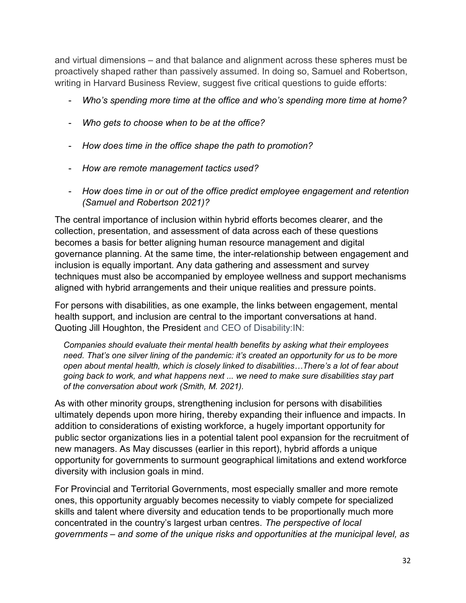and virtual dimensions – and that balance and alignment across these spheres must be proactively shaped rather than passively assumed. In doing so, Samuel and Robertson, writing in Harvard Business Review, suggest five critical questions to guide efforts:

- Who's spending more time at the office and who's spending more time at home?
- Who gets to choose when to be at the office?
- How does time in the office shape the path to promotion?
- How are remote management tactics used?
- How does time in or out of the office predict employee engagement and retention (Samuel and Robertson 2021)?

The central importance of inclusion within hybrid efforts becomes clearer, and the collection, presentation, and assessment of data across each of these questions becomes a basis for better aligning human resource management and digital governance planning. At the same time, the inter-relationship between engagement and inclusion is equally important. Any data gathering and assessment and survey techniques must also be accompanied by employee wellness and support mechanisms aligned with hybrid arrangements and their unique realities and pressure points.

For persons with disabilities, as one example, the links between engagement, mental health support, and inclusion are central to the important conversations at hand. Quoting Jill Houghton, the President and CEO of Disability:IN:

Companies should evaluate their mental health benefits by asking what their employees need. That's one silver lining of the pandemic: it's created an opportunity for us to be more open about mental health, which is closely linked to disabilities…There's a lot of fear about going back to work, and what happens next ... we need to make sure disabilities stay part of the conversation about work (Smith, M. 2021).

As with other minority groups, strengthening inclusion for persons with disabilities ultimately depends upon more hiring, thereby expanding their influence and impacts. In addition to considerations of existing workforce, a hugely important opportunity for public sector organizations lies in a potential talent pool expansion for the recruitment of new managers. As May discusses (earlier in this report), hybrid affords a unique opportunity for governments to surmount geographical limitations and extend workforce diversity with inclusion goals in mind.

For Provincial and Territorial Governments, most especially smaller and more remote ones, this opportunity arguably becomes necessity to viably compete for specialized skills and talent where diversity and education tends to be proportionally much more concentrated in the country's largest urban centres. The perspective of local governments – and some of the unique risks and opportunities at the municipal level, as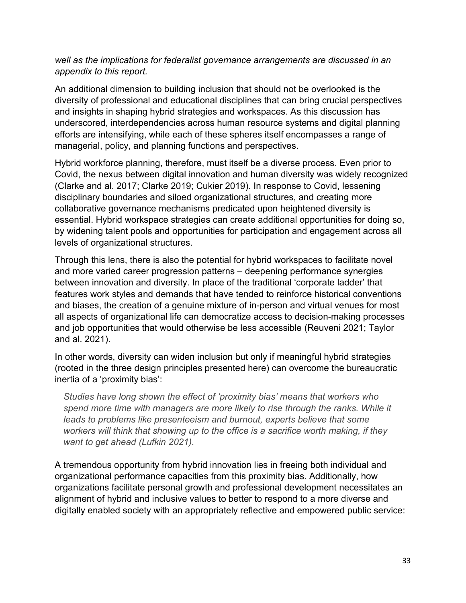## well as the implications for federalist governance arrangements are discussed in an appendix to this report.

An additional dimension to building inclusion that should not be overlooked is the diversity of professional and educational disciplines that can bring crucial perspectives and insights in shaping hybrid strategies and workspaces. As this discussion has underscored, interdependencies across human resource systems and digital planning efforts are intensifying, while each of these spheres itself encompasses a range of managerial, policy, and planning functions and perspectives.

Hybrid workforce planning, therefore, must itself be a diverse process. Even prior to Covid, the nexus between digital innovation and human diversity was widely recognized (Clarke and al. 2017; Clarke 2019; Cukier 2019). In response to Covid, lessening disciplinary boundaries and siloed organizational structures, and creating more collaborative governance mechanisms predicated upon heightened diversity is essential. Hybrid workspace strategies can create additional opportunities for doing so, by widening talent pools and opportunities for participation and engagement across all levels of organizational structures.

Through this lens, there is also the potential for hybrid workspaces to facilitate novel and more varied career progression patterns – deepening performance synergies between innovation and diversity. In place of the traditional 'corporate ladder' that features work styles and demands that have tended to reinforce historical conventions and biases, the creation of a genuine mixture of in-person and virtual venues for most all aspects of organizational life can democratize access to decision-making processes and job opportunities that would otherwise be less accessible (Reuveni 2021; Taylor and al. 2021).

In other words, diversity can widen inclusion but only if meaningful hybrid strategies (rooted in the three design principles presented here) can overcome the bureaucratic inertia of a 'proximity bias':

Studies have long shown the effect of 'proximity bias' means that workers who spend more time with managers are more likely to rise through the ranks. While it leads to problems like presenteeism and burnout, experts believe that some workers will think that showing up to the office is a sacrifice worth making, if they want to get ahead (Lufkin 2021).

A tremendous opportunity from hybrid innovation lies in freeing both individual and organizational performance capacities from this proximity bias. Additionally, how organizations facilitate personal growth and professional development necessitates an alignment of hybrid and inclusive values to better to respond to a more diverse and digitally enabled society with an appropriately reflective and empowered public service: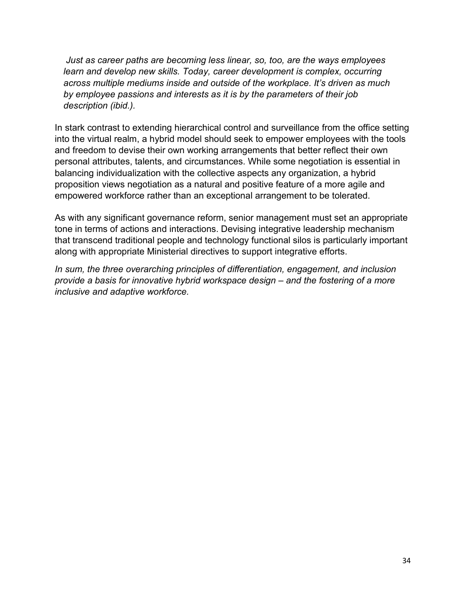Just as career paths are becoming less linear, so, too, are the ways employees learn and develop new skills. Today, career development is complex, occurring across multiple mediums inside and outside of the workplace. It's driven as much by employee passions and interests as it is by the parameters of their job description (ibid.).

In stark contrast to extending hierarchical control and surveillance from the office setting into the virtual realm, a hybrid model should seek to empower employees with the tools and freedom to devise their own working arrangements that better reflect their own personal attributes, talents, and circumstances. While some negotiation is essential in balancing individualization with the collective aspects any organization, a hybrid proposition views negotiation as a natural and positive feature of a more agile and empowered workforce rather than an exceptional arrangement to be tolerated.

As with any significant governance reform, senior management must set an appropriate tone in terms of actions and interactions. Devising integrative leadership mechanism that transcend traditional people and technology functional silos is particularly important along with appropriate Ministerial directives to support integrative efforts.

In sum, the three overarching principles of differentiation, engagement, and inclusion provide a basis for innovative hybrid workspace design – and the fostering of a more inclusive and adaptive workforce.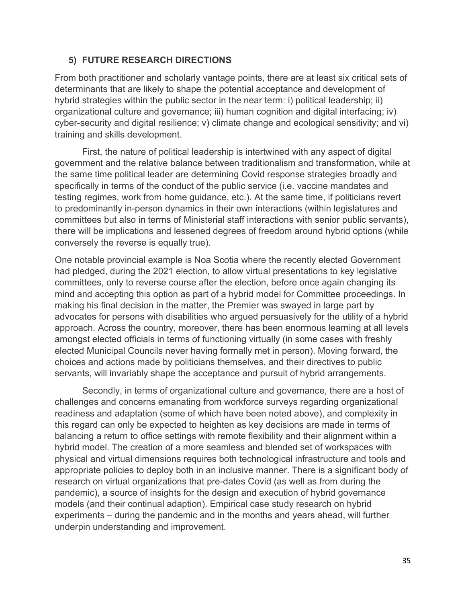#### 5) FUTURE RESEARCH DIRECTIONS

From both practitioner and scholarly vantage points, there are at least six critical sets of determinants that are likely to shape the potential acceptance and development of hybrid strategies within the public sector in the near term: i) political leadership; ii) organizational culture and governance; iii) human cognition and digital interfacing; iv) cyber-security and digital resilience; v) climate change and ecological sensitivity; and vi) training and skills development.

First, the nature of political leadership is intertwined with any aspect of digital government and the relative balance between traditionalism and transformation, while at the same time political leader are determining Covid response strategies broadly and specifically in terms of the conduct of the public service (i.e. vaccine mandates and testing regimes, work from home guidance, etc.). At the same time, if politicians revert to predominantly in-person dynamics in their own interactions (within legislatures and committees but also in terms of Ministerial staff interactions with senior public servants), there will be implications and lessened degrees of freedom around hybrid options (while conversely the reverse is equally true).

One notable provincial example is Noa Scotia where the recently elected Government had pledged, during the 2021 election, to allow virtual presentations to key legislative committees, only to reverse course after the election, before once again changing its mind and accepting this option as part of a hybrid model for Committee proceedings. In making his final decision in the matter, the Premier was swayed in large part by advocates for persons with disabilities who argued persuasively for the utility of a hybrid approach. Across the country, moreover, there has been enormous learning at all levels amongst elected officials in terms of functioning virtually (in some cases with freshly elected Municipal Councils never having formally met in person). Moving forward, the choices and actions made by politicians themselves, and their directives to public servants, will invariably shape the acceptance and pursuit of hybrid arrangements.

Secondly, in terms of organizational culture and governance, there are a host of challenges and concerns emanating from workforce surveys regarding organizational readiness and adaptation (some of which have been noted above), and complexity in this regard can only be expected to heighten as key decisions are made in terms of balancing a return to office settings with remote flexibility and their alignment within a hybrid model. The creation of a more seamless and blended set of workspaces with physical and virtual dimensions requires both technological infrastructure and tools and appropriate policies to deploy both in an inclusive manner. There is a significant body of research on virtual organizations that pre-dates Covid (as well as from during the pandemic), a source of insights for the design and execution of hybrid governance models (and their continual adaption). Empirical case study research on hybrid experiments – during the pandemic and in the months and years ahead, will further underpin understanding and improvement.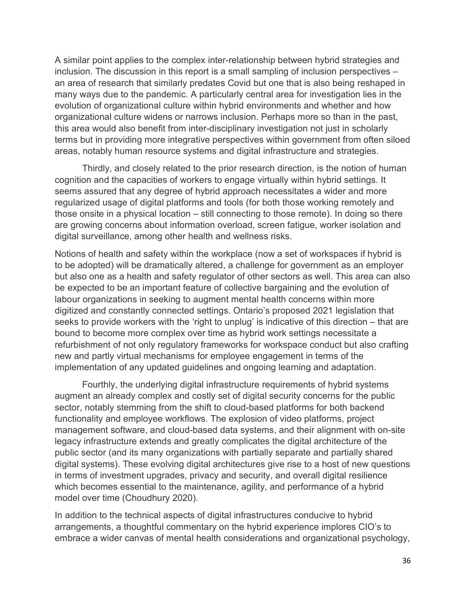A similar point applies to the complex inter-relationship between hybrid strategies and inclusion. The discussion in this report is a small sampling of inclusion perspectives – an area of research that similarly predates Covid but one that is also being reshaped in many ways due to the pandemic. A particularly central area for investigation lies in the evolution of organizational culture within hybrid environments and whether and how organizational culture widens or narrows inclusion. Perhaps more so than in the past, this area would also benefit from inter-disciplinary investigation not just in scholarly terms but in providing more integrative perspectives within government from often siloed areas, notably human resource systems and digital infrastructure and strategies.

Thirdly, and closely related to the prior research direction, is the notion of human cognition and the capacities of workers to engage virtually within hybrid settings. It seems assured that any degree of hybrid approach necessitates a wider and more regularized usage of digital platforms and tools (for both those working remotely and those onsite in a physical location – still connecting to those remote). In doing so there are growing concerns about information overload, screen fatigue, worker isolation and digital surveillance, among other health and wellness risks.

Notions of health and safety within the workplace (now a set of workspaces if hybrid is to be adopted) will be dramatically altered, a challenge for government as an employer but also one as a health and safety regulator of other sectors as well. This area can also be expected to be an important feature of collective bargaining and the evolution of labour organizations in seeking to augment mental health concerns within more digitized and constantly connected settings. Ontario's proposed 2021 legislation that seeks to provide workers with the 'right to unplug' is indicative of this direction – that are bound to become more complex over time as hybrid work settings necessitate a refurbishment of not only regulatory frameworks for workspace conduct but also crafting new and partly virtual mechanisms for employee engagement in terms of the implementation of any updated guidelines and ongoing learning and adaptation.

Fourthly, the underlying digital infrastructure requirements of hybrid systems augment an already complex and costly set of digital security concerns for the public sector, notably stemming from the shift to cloud-based platforms for both backend functionality and employee workflows. The explosion of video platforms, project management software, and cloud-based data systems, and their alignment with on-site legacy infrastructure extends and greatly complicates the digital architecture of the public sector (and its many organizations with partially separate and partially shared digital systems). These evolving digital architectures give rise to a host of new questions in terms of investment upgrades, privacy and security, and overall digital resilience which becomes essential to the maintenance, agility, and performance of a hybrid model over time (Choudhury 2020).

In addition to the technical aspects of digital infrastructures conducive to hybrid arrangements, a thoughtful commentary on the hybrid experience implores CIO's to embrace a wider canvas of mental health considerations and organizational psychology,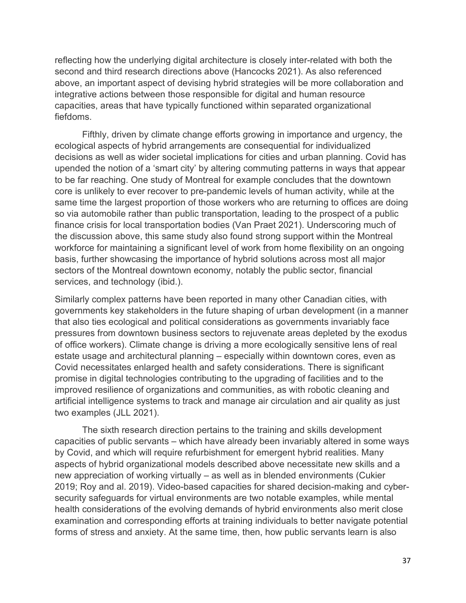reflecting how the underlying digital architecture is closely inter-related with both the second and third research directions above (Hancocks 2021). As also referenced above, an important aspect of devising hybrid strategies will be more collaboration and integrative actions between those responsible for digital and human resource capacities, areas that have typically functioned within separated organizational fiefdoms.

Fifthly, driven by climate change efforts growing in importance and urgency, the ecological aspects of hybrid arrangements are consequential for individualized decisions as well as wider societal implications for cities and urban planning. Covid has upended the notion of a 'smart city' by altering commuting patterns in ways that appear to be far reaching. One study of Montreal for example concludes that the downtown core is unlikely to ever recover to pre-pandemic levels of human activity, while at the same time the largest proportion of those workers who are returning to offices are doing so via automobile rather than public transportation, leading to the prospect of a public finance crisis for local transportation bodies (Van Praet 2021). Underscoring much of the discussion above, this same study also found strong support within the Montreal workforce for maintaining a significant level of work from home flexibility on an ongoing basis, further showcasing the importance of hybrid solutions across most all major sectors of the Montreal downtown economy, notably the public sector, financial services, and technology (ibid.).

Similarly complex patterns have been reported in many other Canadian cities, with governments key stakeholders in the future shaping of urban development (in a manner that also ties ecological and political considerations as governments invariably face pressures from downtown business sectors to rejuvenate areas depleted by the exodus of office workers). Climate change is driving a more ecologically sensitive lens of real estate usage and architectural planning – especially within downtown cores, even as Covid necessitates enlarged health and safety considerations. There is significant promise in digital technologies contributing to the upgrading of facilities and to the improved resilience of organizations and communities, as with robotic cleaning and artificial intelligence systems to track and manage air circulation and air quality as just two examples (JLL 2021).

The sixth research direction pertains to the training and skills development capacities of public servants – which have already been invariably altered in some ways by Covid, and which will require refurbishment for emergent hybrid realities. Many aspects of hybrid organizational models described above necessitate new skills and a new appreciation of working virtually – as well as in blended environments (Cukier 2019; Roy and al. 2019). Video-based capacities for shared decision-making and cybersecurity safeguards for virtual environments are two notable examples, while mental health considerations of the evolving demands of hybrid environments also merit close examination and corresponding efforts at training individuals to better navigate potential forms of stress and anxiety. At the same time, then, how public servants learn is also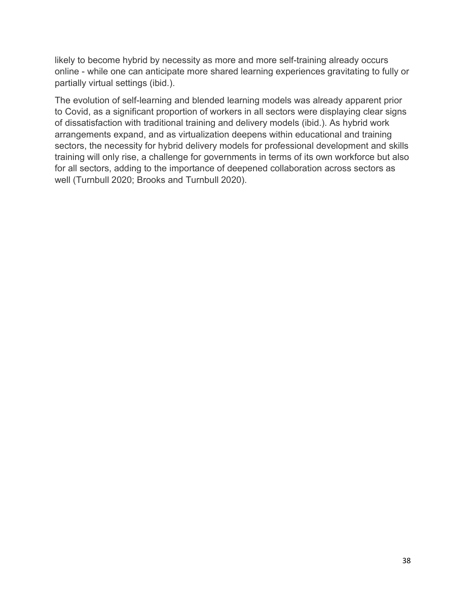likely to become hybrid by necessity as more and more self-training already occurs online - while one can anticipate more shared learning experiences gravitating to fully or partially virtual settings (ibid.).

The evolution of self-learning and blended learning models was already apparent prior to Covid, as a significant proportion of workers in all sectors were displaying clear signs of dissatisfaction with traditional training and delivery models (ibid.). As hybrid work arrangements expand, and as virtualization deepens within educational and training sectors, the necessity for hybrid delivery models for professional development and skills training will only rise, a challenge for governments in terms of its own workforce but also for all sectors, adding to the importance of deepened collaboration across sectors as well (Turnbull 2020; Brooks and Turnbull 2020).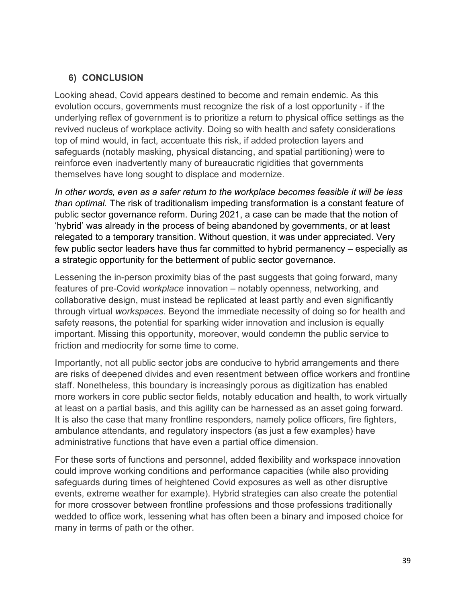## 6) CONCLUSION

Looking ahead, Covid appears destined to become and remain endemic. As this evolution occurs, governments must recognize the risk of a lost opportunity - if the underlying reflex of government is to prioritize a return to physical office settings as the revived nucleus of workplace activity. Doing so with health and safety considerations top of mind would, in fact, accentuate this risk, if added protection layers and safeguards (notably masking, physical distancing, and spatial partitioning) were to reinforce even inadvertently many of bureaucratic rigidities that governments themselves have long sought to displace and modernize.

In other words, even as a safer return to the workplace becomes feasible it will be less than optimal. The risk of traditionalism impeding transformation is a constant feature of public sector governance reform. During 2021, a case can be made that the notion of 'hybrid' was already in the process of being abandoned by governments, or at least relegated to a temporary transition. Without question, it was under appreciated. Very few public sector leaders have thus far committed to hybrid permanency – especially as a strategic opportunity for the betterment of public sector governance.

Lessening the in-person proximity bias of the past suggests that going forward, many features of pre-Covid workplace innovation – notably openness, networking, and collaborative design, must instead be replicated at least partly and even significantly through virtual workspaces. Beyond the immediate necessity of doing so for health and safety reasons, the potential for sparking wider innovation and inclusion is equally important. Missing this opportunity, moreover, would condemn the public service to friction and mediocrity for some time to come.

Importantly, not all public sector jobs are conducive to hybrid arrangements and there are risks of deepened divides and even resentment between office workers and frontline staff. Nonetheless, this boundary is increasingly porous as digitization has enabled more workers in core public sector fields, notably education and health, to work virtually at least on a partial basis, and this agility can be harnessed as an asset going forward. It is also the case that many frontline responders, namely police officers, fire fighters, ambulance attendants, and regulatory inspectors (as just a few examples) have administrative functions that have even a partial office dimension.

For these sorts of functions and personnel, added flexibility and workspace innovation could improve working conditions and performance capacities (while also providing safeguards during times of heightened Covid exposures as well as other disruptive events, extreme weather for example). Hybrid strategies can also create the potential for more crossover between frontline professions and those professions traditionally wedded to office work, lessening what has often been a binary and imposed choice for many in terms of path or the other.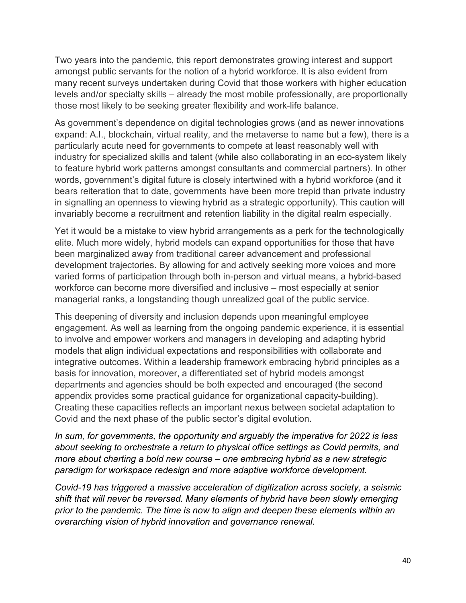Two years into the pandemic, this report demonstrates growing interest and support amongst public servants for the notion of a hybrid workforce. It is also evident from many recent surveys undertaken during Covid that those workers with higher education levels and/or specialty skills – already the most mobile professionally, are proportionally those most likely to be seeking greater flexibility and work-life balance.

As government's dependence on digital technologies grows (and as newer innovations expand: A.I., blockchain, virtual reality, and the metaverse to name but a few), there is a particularly acute need for governments to compete at least reasonably well with industry for specialized skills and talent (while also collaborating in an eco-system likely to feature hybrid work patterns amongst consultants and commercial partners). In other words, government's digital future is closely intertwined with a hybrid workforce (and it bears reiteration that to date, governments have been more trepid than private industry in signalling an openness to viewing hybrid as a strategic opportunity). This caution will invariably become a recruitment and retention liability in the digital realm especially.

Yet it would be a mistake to view hybrid arrangements as a perk for the technologically elite. Much more widely, hybrid models can expand opportunities for those that have been marginalized away from traditional career advancement and professional development trajectories. By allowing for and actively seeking more voices and more varied forms of participation through both in-person and virtual means, a hybrid-based workforce can become more diversified and inclusive – most especially at senior managerial ranks, a longstanding though unrealized goal of the public service.

This deepening of diversity and inclusion depends upon meaningful employee engagement. As well as learning from the ongoing pandemic experience, it is essential to involve and empower workers and managers in developing and adapting hybrid models that align individual expectations and responsibilities with collaborate and integrative outcomes. Within a leadership framework embracing hybrid principles as a basis for innovation, moreover, a differentiated set of hybrid models amongst departments and agencies should be both expected and encouraged (the second appendix provides some practical guidance for organizational capacity-building). Creating these capacities reflects an important nexus between societal adaptation to Covid and the next phase of the public sector's digital evolution.

In sum, for governments, the opportunity and arguably the imperative for 2022 is less about seeking to orchestrate a return to physical office settings as Covid permits, and more about charting a bold new course – one embracing hybrid as a new strategic paradigm for workspace redesign and more adaptive workforce development.

Covid-19 has triggered a massive acceleration of digitization across society, a seismic shift that will never be reversed. Many elements of hybrid have been slowly emerging prior to the pandemic. The time is now to align and deepen these elements within an overarching vision of hybrid innovation and governance renewal.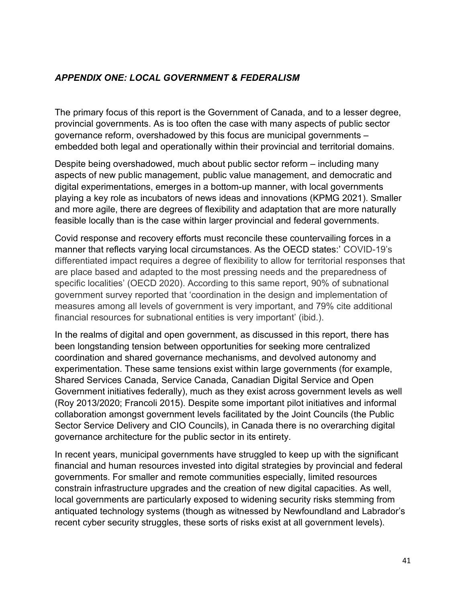## APPENDIX ONE: LOCAL GOVERNMENT & FEDERALISM

The primary focus of this report is the Government of Canada, and to a lesser degree, provincial governments. As is too often the case with many aspects of public sector governance reform, overshadowed by this focus are municipal governments – embedded both legal and operationally within their provincial and territorial domains.

Despite being overshadowed, much about public sector reform – including many aspects of new public management, public value management, and democratic and digital experimentations, emerges in a bottom-up manner, with local governments playing a key role as incubators of news ideas and innovations (KPMG 2021). Smaller and more agile, there are degrees of flexibility and adaptation that are more naturally feasible locally than is the case within larger provincial and federal governments.

Covid response and recovery efforts must reconcile these countervailing forces in a manner that reflects varying local circumstances. As the OECD states:' COVID-19's differentiated impact requires a degree of flexibility to allow for territorial responses that are place based and adapted to the most pressing needs and the preparedness of specific localities' (OECD 2020). According to this same report, 90% of subnational government survey reported that 'coordination in the design and implementation of measures among all levels of government is very important, and 79% cite additional financial resources for subnational entities is very important' (ibid.).

In the realms of digital and open government, as discussed in this report, there has been longstanding tension between opportunities for seeking more centralized coordination and shared governance mechanisms, and devolved autonomy and experimentation. These same tensions exist within large governments (for example, Shared Services Canada, Service Canada, Canadian Digital Service and Open Government initiatives federally), much as they exist across government levels as well (Roy 2013/2020; Francoli 2015). Despite some important pilot initiatives and informal collaboration amongst government levels facilitated by the Joint Councils (the Public Sector Service Delivery and CIO Councils), in Canada there is no overarching digital governance architecture for the public sector in its entirety.

In recent years, municipal governments have struggled to keep up with the significant financial and human resources invested into digital strategies by provincial and federal governments. For smaller and remote communities especially, limited resources constrain infrastructure upgrades and the creation of new digital capacities. As well, local governments are particularly exposed to widening security risks stemming from antiquated technology systems (though as witnessed by Newfoundland and Labrador's recent cyber security struggles, these sorts of risks exist at all government levels).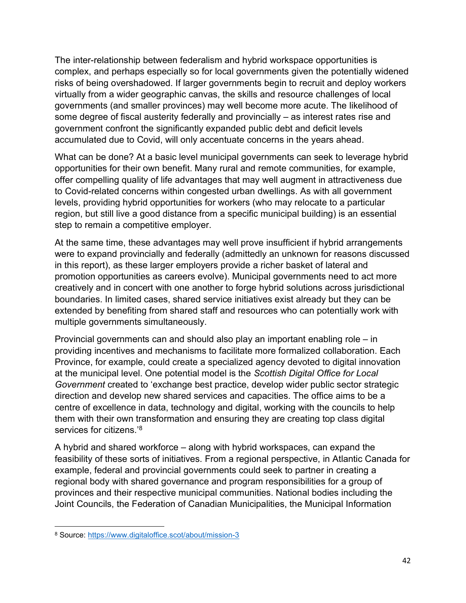The inter-relationship between federalism and hybrid workspace opportunities is complex, and perhaps especially so for local governments given the potentially widened risks of being overshadowed. If larger governments begin to recruit and deploy workers virtually from a wider geographic canvas, the skills and resource challenges of local governments (and smaller provinces) may well become more acute. The likelihood of some degree of fiscal austerity federally and provincially – as interest rates rise and government confront the significantly expanded public debt and deficit levels accumulated due to Covid, will only accentuate concerns in the years ahead.

What can be done? At a basic level municipal governments can seek to leverage hybrid opportunities for their own benefit. Many rural and remote communities, for example, offer compelling quality of life advantages that may well augment in attractiveness due to Covid-related concerns within congested urban dwellings. As with all government levels, providing hybrid opportunities for workers (who may relocate to a particular region, but still live a good distance from a specific municipal building) is an essential step to remain a competitive employer.

At the same time, these advantages may well prove insufficient if hybrid arrangements were to expand provincially and federally (admittedly an unknown for reasons discussed in this report), as these larger employers provide a richer basket of lateral and promotion opportunities as careers evolve). Municipal governments need to act more creatively and in concert with one another to forge hybrid solutions across jurisdictional boundaries. In limited cases, shared service initiatives exist already but they can be extended by benefiting from shared staff and resources who can potentially work with multiple governments simultaneously.

Provincial governments can and should also play an important enabling role – in providing incentives and mechanisms to facilitate more formalized collaboration. Each Province, for example, could create a specialized agency devoted to digital innovation at the municipal level. One potential model is the Scottish Digital Office for Local Government created to 'exchange best practice, develop wider public sector strategic direction and develop new shared services and capacities. The office aims to be a centre of excellence in data, technology and digital, working with the councils to help them with their own transformation and ensuring they are creating top class digital services for citizens.<sup>'8</sup>

A hybrid and shared workforce – along with hybrid workspaces, can expand the feasibility of these sorts of initiatives. From a regional perspective, in Atlantic Canada for example, federal and provincial governments could seek to partner in creating a regional body with shared governance and program responsibilities for a group of provinces and their respective municipal communities. National bodies including the Joint Councils, the Federation of Canadian Municipalities, the Municipal Information

<sup>8</sup> Source: https://www.digitaloffice.scot/about/mission-3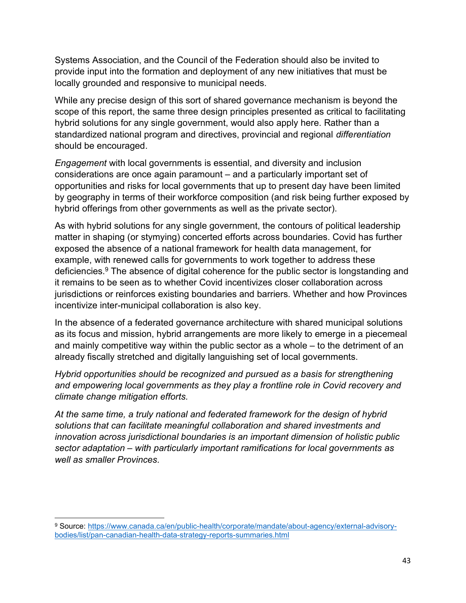Systems Association, and the Council of the Federation should also be invited to provide input into the formation and deployment of any new initiatives that must be locally grounded and responsive to municipal needs.

While any precise design of this sort of shared governance mechanism is beyond the scope of this report, the same three design principles presented as critical to facilitating hybrid solutions for any single government, would also apply here. Rather than a standardized national program and directives, provincial and regional differentiation should be encouraged.

Engagement with local governments is essential, and diversity and inclusion considerations are once again paramount – and a particularly important set of opportunities and risks for local governments that up to present day have been limited by geography in terms of their workforce composition (and risk being further exposed by hybrid offerings from other governments as well as the private sector).

As with hybrid solutions for any single government, the contours of political leadership matter in shaping (or stymying) concerted efforts across boundaries. Covid has further exposed the absence of a national framework for health data management, for example, with renewed calls for governments to work together to address these deficiencies.<sup>9</sup> The absence of digital coherence for the public sector is longstanding and it remains to be seen as to whether Covid incentivizes closer collaboration across jurisdictions or reinforces existing boundaries and barriers. Whether and how Provinces incentivize inter-municipal collaboration is also key.

In the absence of a federated governance architecture with shared municipal solutions as its focus and mission, hybrid arrangements are more likely to emerge in a piecemeal and mainly competitive way within the public sector as a whole – to the detriment of an already fiscally stretched and digitally languishing set of local governments.

Hybrid opportunities should be recognized and pursued as a basis for strengthening and empowering local governments as they play a frontline role in Covid recovery and climate change mitigation efforts.

At the same time, a truly national and federated framework for the design of hybrid solutions that can facilitate meaningful collaboration and shared investments and innovation across jurisdictional boundaries is an important dimension of holistic public sector adaptation – with particularly important ramifications for local governments as well as smaller Provinces

<sup>9</sup> Source: https://www.canada.ca/en/public-health/corporate/mandate/about-agency/external-advisorybodies/list/pan-canadian-health-data-strategy-reports-summaries.html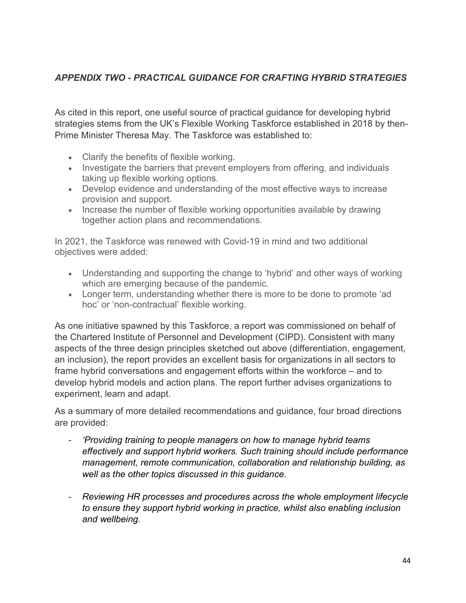## APPENDIX TWO - PRACTICAL GUIDANCE FOR CRAFTING HYBRID STRATEGIES

As cited in this report, one useful source of practical guidance for developing hybrid strategies stems from the UK's Flexible Working Taskforce established in 2018 by then-Prime Minister Theresa May. The Taskforce was established to:

- Clarify the benefits of flexible working.
- Investigate the barriers that prevent employers from offering, and individuals taking up flexible working options.
- Develop evidence and understanding of the most effective ways to increase provision and support.
- Increase the number of flexible working opportunities available by drawing together action plans and recommendations.

In 2021, the Taskforce was renewed with Covid-19 in mind and two additional objectives were added:

- Understanding and supporting the change to 'hybrid' and other ways of working which are emerging because of the pandemic.
- Longer term, understanding whether there is more to be done to promote 'ad hoc' or 'non-contractual' flexible working.

As one initiative spawned by this Taskforce, a report was commissioned on behalf of the Chartered Institute of Personnel and Development (CIPD). Consistent with many aspects of the three design principles sketched out above (differentiation, engagement, an inclusion), the report provides an excellent basis for organizations in all sectors to frame hybrid conversations and engagement efforts within the workforce – and to develop hybrid models and action plans. The report further advises organizations to experiment, learn and adapt.

As a summary of more detailed recommendations and guidance, four broad directions are provided:

- 'Providing training to people managers on how to manage hybrid teams effectively and support hybrid workers. Such training should include performance management, remote communication, collaboration and relationship building, as well as the other topics discussed in this guidance.
- Reviewing HR processes and procedures across the whole employment lifecycle to ensure they support hybrid working in practice, whilst also enabling inclusion and wellbeing.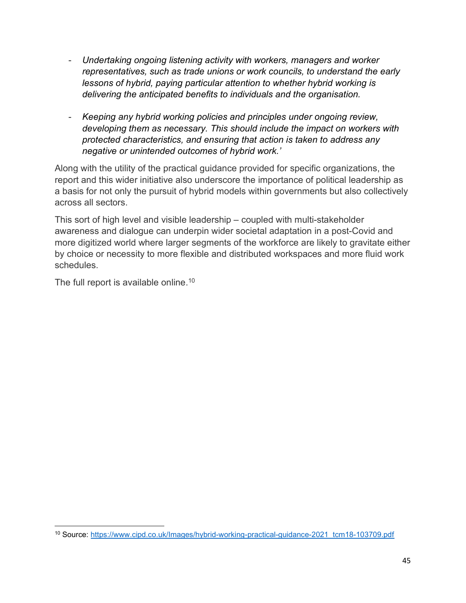- Undertaking ongoing listening activity with workers, managers and worker representatives, such as trade unions or work councils, to understand the early lessons of hybrid, paying particular attention to whether hybrid working is delivering the anticipated benefits to individuals and the organisation.
- Keeping any hybrid working policies and principles under ongoing review, developing them as necessary. This should include the impact on workers with protected characteristics, and ensuring that action is taken to address any negative or unintended outcomes of hybrid work.'

Along with the utility of the practical guidance provided for specific organizations, the report and this wider initiative also underscore the importance of political leadership as a basis for not only the pursuit of hybrid models within governments but also collectively across all sectors.

This sort of high level and visible leadership – coupled with multi-stakeholder awareness and dialogue can underpin wider societal adaptation in a post-Covid and more digitized world where larger segments of the workforce are likely to gravitate either by choice or necessity to more flexible and distributed workspaces and more fluid work schedules.

The full report is available online.<sup>10</sup>

<sup>10</sup> Source: https://www.cipd.co.uk/Images/hybrid-working-practical-guidance-2021\_tcm18-103709.pdf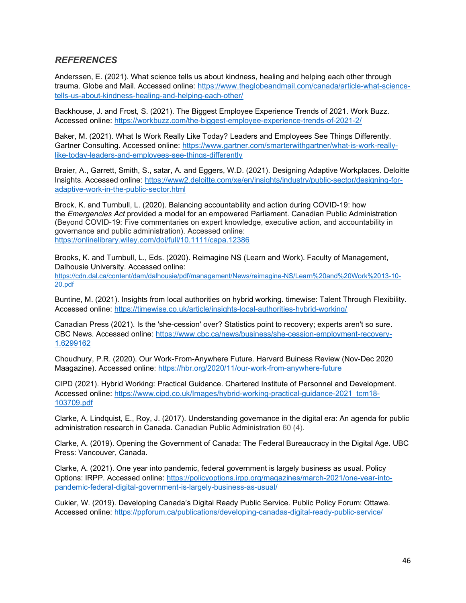#### **REFERENCES**

Anderssen, E. (2021). What science tells us about kindness, healing and helping each other through trauma. Globe and Mail. Accessed online: https://www.theglobeandmail.com/canada/article-what-sciencetells-us-about-kindness-healing-and-helping-each-other/

Backhouse, J. and Frost, S. (2021). The Biggest Employee Experience Trends of 2021. Work Buzz. Accessed online: https://workbuzz.com/the-biggest-employee-experience-trends-of-2021-2/

Baker, M. (2021). What Is Work Really Like Today? Leaders and Employees See Things Differently. Gartner Consulting. Accessed online: https://www.gartner.com/smarterwithgartner/what-is-work-reallylike-today-leaders-and-employees-see-things-differently

Braier, A., Garrett, Smith, S., satar, A. and Eggers, W.D. (2021). Designing Adaptive Workplaces. Deloitte Insights. Accessed online: https://www2.deloitte.com/xe/en/insights/industry/public-sector/designing-foradaptive-work-in-the-public-sector.html

Brock, K. and Turnbull, L. (2020). Balancing accountability and action during COVID-19: how the Emergencies Act provided a model for an empowered Parliament. Canadian Public Administration (Beyond COVID-19: Five commentaries on expert knowledge, executive action, and accountability in governance and public administration). Accessed online: https://onlinelibrary.wiley.com/doi/full/10.1111/capa.12386

Brooks, K. and Turnbull, L., Eds. (2020). Reimagine NS (Learn and Work). Faculty of Management, Dalhousie University. Accessed online:

https://cdn.dal.ca/content/dam/dalhousie/pdf/management/News/reimagine-NS/Learn%20and%20Work%2013-10- 20.pdf

Buntine, M. (2021). Insights from local authorities on hybrid working. timewise: Talent Through Flexibility. Accessed online: https://timewise.co.uk/article/insights-local-authorities-hybrid-working/

Canadian Press (2021). Is the 'she-cession' over? Statistics point to recovery; experts aren't so sure. CBC News. Accessed online: https://www.cbc.ca/news/business/she-cession-employment-recovery-1.6299162

Choudhury, P.R. (2020). Our Work-From-Anywhere Future. Harvard Buiness Review (Nov-Dec 2020 Maagazine). Accessed online: https://hbr.org/2020/11/our-work-from-anywhere-future

CIPD (2021). Hybrid Working: Practical Guidance. Chartered Institute of Personnel and Development. Accessed online: https://www.cipd.co.uk/Images/hybrid-working-practical-guidance-2021\_tcm18-103709.pdf

Clarke, A. Lindquist, E., Roy, J. (2017). Understanding governance in the digital era: An agenda for public administration research in Canada. Canadian Public Administration 60 (4).

Clarke, A. (2019). Opening the Government of Canada: The Federal Bureaucracy in the Digital Age. UBC Press: Vancouver, Canada.

Clarke, A. (2021). One year into pandemic, federal government is largely business as usual. Policy Options: IRPP. Accessed online: https://policyoptions.irpp.org/magazines/march-2021/one-year-intopandemic-federal-digital-government-is-largely-business-as-usual/

Cukier, W. (2019). Developing Canada's Digital Ready Public Service. Public Policy Forum: Ottawa. Accessed online: https://ppforum.ca/publications/developing-canadas-digital-ready-public-service/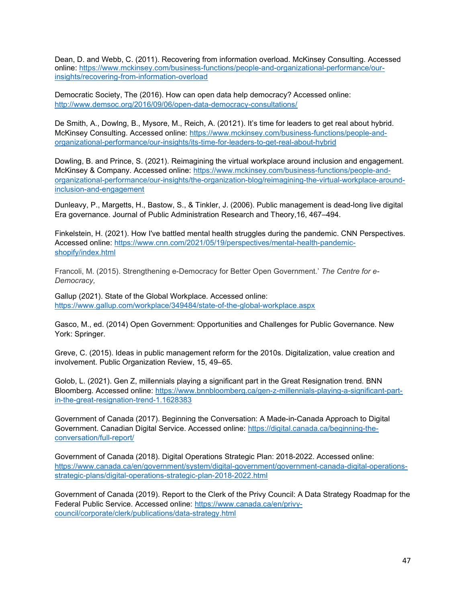Dean, D. and Webb, C. (2011). Recovering from information overload. McKinsey Consulting. Accessed online: https://www.mckinsey.com/business-functions/people-and-organizational-performance/ourinsights/recovering-from-information-overload

Democratic Society, The (2016). How can open data help democracy? Accessed online: http://www.demsoc.org/2016/09/06/open-data-democracy-consultations/

De Smith, A., Dowlng, B., Mysore, M., Reich, A. (20121). It's time for leaders to get real about hybrid. McKinsey Consulting. Accessed online: https://www.mckinsey.com/business-functions/people-andorganizational-performance/our-insights/its-time-for-leaders-to-get-real-about-hybrid

Dowling, B. and Prince, S. (2021). Reimagining the virtual workplace around inclusion and engagement. McKinsey & Company. Accessed online: https://www.mckinsey.com/business-functions/people-andorganizational-performance/our-insights/the-organization-blog/reimagining-the-virtual-workplace-aroundinclusion-and-engagement

Dunleavy, P., Margetts, H., Bastow, S., & Tinkler, J. (2006). Public management is dead-long live digital Era governance. Journal of Public Administration Research and Theory,16, 467–494.

Finkelstein, H. (2021). How I've battled mental health struggles during the pandemic. CNN Perspectives. Accessed online: https://www.cnn.com/2021/05/19/perspectives/mental-health-pandemicshopify/index.html

Francoli, M. (2015). Strengthening e-Democracy for Better Open Government.' The Centre for e-Democracy,

Gallup (2021). State of the Global Workplace. Accessed online: https://www.gallup.com/workplace/349484/state-of-the-global-workplace.aspx

Gasco, M., ed. (2014) Open Government: Opportunities and Challenges for Public Governance. New York: Springer.

Greve, C. (2015). Ideas in public management reform for the 2010s. Digitalization, value creation and involvement. Public Organization Review, 15, 49–65.

Golob, L. (2021). Gen Z, millennials playing a significant part in the Great Resignation trend. BNN Bloomberg. Accessed online: https://www.bnnbloomberg.ca/gen-z-millennials-playing-a-significant-partin-the-great-resignation-trend-1.1628383

Government of Canada (2017). Beginning the Conversation: A Made-in-Canada Approach to Digital Government. Canadian Digital Service. Accessed online: https://digital.canada.ca/beginning-theconversation/full-report/

Government of Canada (2018). Digital Operations Strategic Plan: 2018-2022. Accessed online: https://www.canada.ca/en/government/system/digital-government/government-canada-digital-operationsstrategic-plans/digital-operations-strategic-plan-2018-2022.html

Government of Canada (2019). Report to the Clerk of the Privy Council: A Data Strategy Roadmap for the Federal Public Service. Accessed online: https://www.canada.ca/en/privycouncil/corporate/clerk/publications/data-strategy.html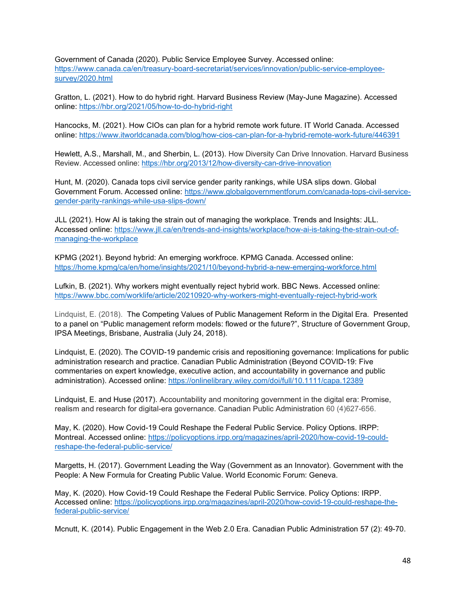Government of Canada (2020). Public Service Employee Survey. Accessed online: https://www.canada.ca/en/treasury-board-secretariat/services/innovation/public-service-employeesurvey/2020.html

Gratton, L. (2021). How to do hybrid right. Harvard Business Review (May-June Magazine). Accessed online: https://hbr.org/2021/05/how-to-do-hybrid-right

Hancocks, M. (2021). How CIOs can plan for a hybrid remote work future. IT World Canada. Accessed online: https://www.itworldcanada.com/blog/how-cios-can-plan-for-a-hybrid-remote-work-future/446391

Hewlett, A.S., Marshall, M., and Sherbin, L. (2013). How Diversity Can Drive Innovation. Harvard Business Review. Accessed online: https://hbr.org/2013/12/how-diversity-can-drive-innovation

Hunt, M. (2020). Canada tops civil service gender parity rankings, while USA slips down. Global Government Forum. Accessed online: https://www.globalgovernmentforum.com/canada-tops-civil-servicegender-parity-rankings-while-usa-slips-down/

JLL (2021). How AI is taking the strain out of managing the workplace. Trends and Insights: JLL. Accessed online: https://www.jll.ca/en/trends-and-insights/workplace/how-ai-is-taking-the-strain-out-ofmanaging-the-workplace

KPMG (2021). Beyond hybrid: An emerging workfroce. KPMG Canada. Accessed online: https://home.kpmg/ca/en/home/insights/2021/10/beyond-hybrid-a-new-emerging-workforce.html

Lufkin, B. (2021). Why workers might eventually reject hybrid work. BBC News. Accessed online: https://www.bbc.com/worklife/article/20210920-why-workers-might-eventually-reject-hybrid-work

Lindquist, E. (2018). The Competing Values of Public Management Reform in the Digital Era. Presented to a panel on "Public management reform models: flowed or the future?", Structure of Government Group, IPSA Meetings, Brisbane, Australia (July 24, 2018).

Lindquist, E. (2020). The COVID-19 pandemic crisis and repositioning governance: Implications for public administration research and practice. Canadian Public Administration (Beyond COVID-19: Five commentaries on expert knowledge, executive action, and accountability in governance and public administration). Accessed online: https://onlinelibrary.wiley.com/doi/full/10.1111/capa.12389

Lindquist, E. and Huse (2017). Accountability and monitoring government in the digital era: Promise, realism and research for digital-era governance. Canadian Public Administration 60 (4)627-656.

May, K. (2020). How Covid-19 Could Reshape the Federal Public Service. Policy Options. IRPP: Montreal. Accessed online: https://policyoptions.irpp.org/magazines/april-2020/how-covid-19-couldreshape-the-federal-public-service/

Margetts, H. (2017). Government Leading the Way (Government as an Innovator). Government with the People: A New Formula for Creating Public Value. World Economic Forum: Geneva.

May, K. (2020). How Covid-19 Could Reshape the Federal Public Serrvice. Policy Options: IRPP. Accessed online: https://policyoptions.irpp.org/magazines/april-2020/how-covid-19-could-reshape-thefederal-public-service/

Mcnutt, K. (2014). Public Engagement in the Web 2.0 Era. Canadian Public Administration 57 (2): 49-70.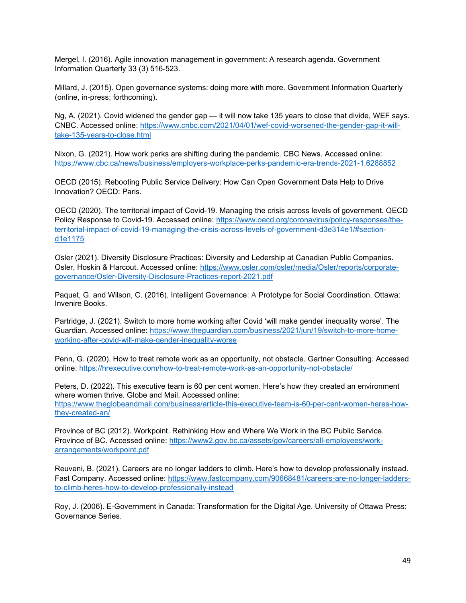Mergel, I. (2016). Agile innovation management in government: A research agenda. Government Information Quarterly 33 (3) 516-523.

Millard, J. (2015). Open governance systems: doing more with more. Government Information Quarterly (online, in-press; forthcoming).

Ng, A. (2021). Covid widened the gender gap — it will now take 135 years to close that divide, WEF says. CNBC. Accessed online: https://www.cnbc.com/2021/04/01/wef-covid-worsened-the-gender-gap-it-willtake-135-years-to-close.html

Nixon, G. (2021). How work perks are shifting during the pandemic. CBC News. Accessed online: https://www.cbc.ca/news/business/employers-workplace-perks-pandemic-era-trends-2021-1.6288852

OECD (2015). Rebooting Public Service Delivery: How Can Open Government Data Help to Drive Innovation? OECD: Paris.

OECD (2020). The territorial impact of Covid-19. Managing the crisis across levels of government. OECD Policy Response to Covid-19. Accessed online: https://www.oecd.org/coronavirus/policy-responses/theterritorial-impact-of-covid-19-managing-the-crisis-across-levels-of-government-d3e314e1/#sectiond1e1175

Osler (2021). Diversity Disclosure Practices: Diversity and Ledership at Canadian Public Companies. Osler, Hoskin & Harcout. Accessed online: https://www.osler.com/osler/media/Osler/reports/corporategovernance/Osler-Diversity-Disclosure-Practices-report-2021.pdf

Paquet, G. and Wilson, C. (2016). Intelligent Governance: A Prototype for Social Coordination. Ottawa: Invenire Books.

Partridge, J. (2021). Switch to more home working after Covid 'will make gender inequality worse'. The Guardian. Accessed online: https://www.theguardian.com/business/2021/jun/19/switch-to-more-homeworking-after-covid-will-make-gender-inequality-worse

Penn, G. (2020). How to treat remote work as an opportunity, not obstacle. Gartner Consulting. Accessed online: https://hrexecutive.com/how-to-treat-remote-work-as-an-opportunity-not-obstacle/

Peters, D. (2022). This executive team is 60 per cent women. Here's how they created an environment where women thrive. Globe and Mail. Accessed online: https://www.theglobeandmail.com/business/article-this-executive-team-is-60-per-cent-women-heres-howthey-created-an/

Province of BC (2012). Workpoint. Rethinking How and Where We Work in the BC Public Service. Province of BC. Accessed online: https://www2.gov.bc.ca/assets/gov/careers/all-employees/workarrangements/workpoint.pdf

Reuveni, B. (2021). Careers are no longer ladders to climb. Here's how to develop professionally instead. Fast Company. Accessed online: https://www.fastcompany.com/90668481/careers-are-no-longer-laddersto-climb-heres-how-to-develop-professionally-instead

Roy, J. (2006). E-Government in Canada: Transformation for the Digital Age. University of Ottawa Press: Governance Series.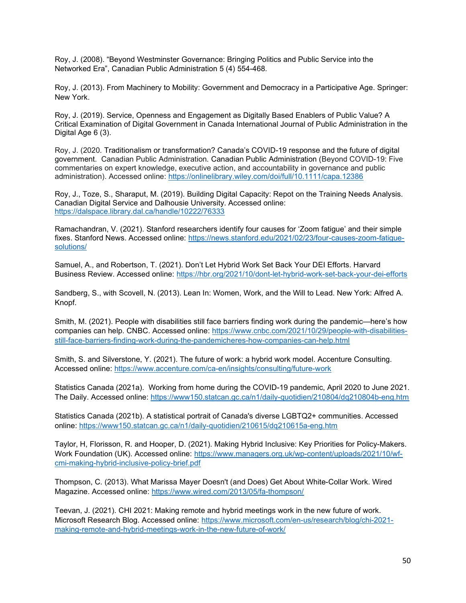Roy, J. (2008). "Beyond Westminster Governance: Bringing Politics and Public Service into the Networked Era", Canadian Public Administration 5 (4) 554-468.

Roy, J. (2013). From Machinery to Mobility: Government and Democracy in a Participative Age. Springer: New York.

Roy, J. (2019). Service, Openness and Engagement as Digitally Based Enablers of Public Value? A Critical Examination of Digital Government in Canada International Journal of Public Administration in the Digital Age 6 (3).

Roy, J. (2020. Traditionalism or transformation? Canada's COVID-19 response and the future of digital government. Canadian Public Administration. Canadian Public Administration (Beyond COVID-19: Five commentaries on expert knowledge, executive action, and accountability in governance and public administration). Accessed online: https://onlinelibrary.wiley.com/doi/full/10.1111/capa.12386

Roy, J., Toze, S., Sharaput, M. (2019). Building Digital Capacity: Repot on the Training Needs Analysis. Canadian Digital Service and Dalhousie University. Accessed online: https://dalspace.library.dal.ca/handle/10222/76333

Ramachandran, V. (2021). Stanford researchers identify four causes for 'Zoom fatigue' and their simple fixes. Stanford News. Accessed online: https://news.stanford.edu/2021/02/23/four-causes-zoom-fatiguesolutions/

Samuel, A., and Robertson, T. (2021). Don't Let Hybrid Work Set Back Your DEI Efforts. Harvard Business Review. Accessed online: https://hbr.org/2021/10/dont-let-hybrid-work-set-back-your-dei-efforts

Sandberg, S., with Scovell, N. (2013). Lean In: Women, Work, and the Will to Lead. New York: Alfred A. Knopf.

Smith, M. (2021). People with disabilities still face barriers finding work during the pandemic—here's how companies can help. CNBC. Accessed online: https://www.cnbc.com/2021/10/29/people-with-disabilitiesstill-face-barriers-finding-work-during-the-pandemicheres-how-companies-can-help.html

Smith, S. and Silverstone, Y. (2021). The future of work: a hybrid work model. Accenture Consulting. Accessed online: https://www.accenture.com/ca-en/insights/consulting/future-work

Statistics Canada (2021a). Working from home during the COVID-19 pandemic, April 2020 to June 2021. The Daily. Accessed online: https://www150.statcan.gc.ca/n1/daily-quotidien/210804/dq210804b-eng.htm

Statistics Canada (2021b). A statistical portrait of Canada's diverse LGBTQ2+ communities. Accessed online: https://www150.statcan.gc.ca/n1/daily-quotidien/210615/dq210615a-eng.htm

Taylor, H, Florisson, R. and Hooper, D. (2021). Making Hybrid Inclusive: Key Priorities for Policy-Makers. Work Foundation (UK). Accessed online: https://www.managers.org.uk/wp-content/uploads/2021/10/wfcmi-making-hybrid-inclusive-policy-brief.pdf

Thompson, C. (2013). What Marissa Mayer Doesn't (and Does) Get About White-Collar Work. Wired Magazine. Accessed online: https://www.wired.com/2013/05/fa-thompson/

Teevan, J. (2021). CHI 2021: Making remote and hybrid meetings work in the new future of work. Microsoft Research Blog. Accessed online: https://www.microsoft.com/en-us/research/blog/chi-2021 making-remote-and-hybrid-meetings-work-in-the-new-future-of-work/